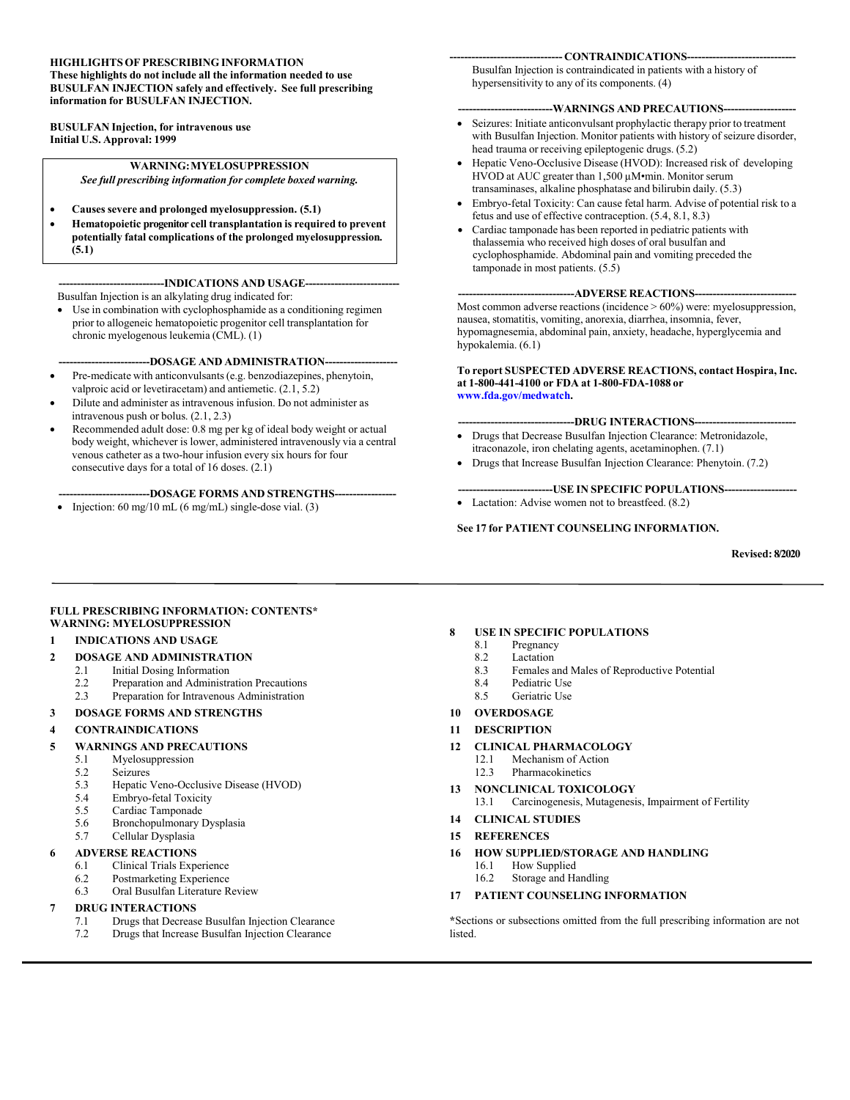#### **HIGHLIGHTS OF PRESCRIBING INFORMATION**

**These highlights do not include all the information needed to use BUSULFAN INJECTION safely and effectively. See full prescribing information for BUSULFAN INJECTION.**

**BUSULFAN Injection, for intravenous use Initial U.S. Approval: 1999**

#### **WARNING:MYELOSUPPRESSION** *See full prescribing information for complete boxed warning.*

- **Causessevere and prolonged myelosuppression. (5.1)**
- **Hematopoietic progenitor cell transplantation is required to prevent potentially fatal complications of the prolonged myelosuppression***.* **(5.1)**

**-----------------------------INDICATIONS AND USAGE--------------------------** Busulfan Injection is an alkylating drug indicated for:

 Use in combination with cyclophosphamide as a conditioning regimen prior to allogeneic hematopoietic progenitor cell transplantation for chronic myelogenous leukemia (CML). (1)

**-------------------------DOSAGE AND ADMINISTRATION--------------------**

- Pre-medicate with anticonvulsants(e.g. benzodiazepines, phenytoin, valproic acid or levetiracetam) and antiemetic. (2.1, 5.2)
- Dilute and administer as intravenous infusion. Do not administer as intravenous push or bolus. (2.1, 2.3)
- Recommended adult dose: 0.8 mg per kg of ideal body weight or actual body weight, whichever is lower, administered intravenously via a central venous catheter as a two-hour infusion every six hours for four consecutive days for a total of 16 doses. (2.1)

**-------------------------DOSAGE FORMS AND STRENGTHS-----------------**

• Injection:  $60 \text{ mg}/10 \text{ mL}$  (6 mg/mL) single-dose vial. (3)

#### --- **CONTRAINDICATIONS---**

Busulfan Injection is contraindicated in patients with a history of hypersensitivity to any of its components. (4)

#### **--------------------------WARNINGS AND PRECAUTIONS--------------------**

- Seizures: Initiate anticonvulsant prophylactic therapy prior to treatment with Busulfan Injection. Monitor patients with history of seizure disorder, head trauma or receiving epileptogenic drugs. (5.2)
- Hepatic Veno-Occlusive Disease (HVOD): Increased risk of developing HVOD at AUC greater than 1,500 µM•min. Monitor serum transaminases, alkaline phosphatase and bilirubin daily. (5.3)
- Embryo-fetal Toxicity: Can cause fetal harm. Advise of potential risk to a fetus and use of effective contraception. (5.4, 8.1, 8.3)
- Cardiac tamponade has been reported in pediatric patients with thalassemia who received high doses of oral busulfan and cyclophosphamide. Abdominal pain and vomiting preceded the tamponade in most patients. (5.5)

#### --ADVERSE REACTIONS--

Most common adverse reactions (incidence > 60%) were: myelosuppression, nausea, stomatitis, vomiting, anorexia, diarrhea, insomnia, fever, hypomagnesemia, abdominal pain, anxiety, headache, hyperglycemia and hypokalemia. (6.1)

#### **To report SUSPECTED ADVERSE REACTIONS, contact Hospira, Inc. at 1-800-441-4100 or FDA at 1-800-FDA-1088 or [www.fda.gov/medwatch](http://www.fda.gov/medwatch).**

#### **--------------------------------DRUG INTERACTIONS----------------------------**

- Drugs that Decrease Busulfan Injection Clearance: Metronidazole, itraconazole, iron chelating agents, acetaminophen. (7.1)
- Drugs that Increase Busulfan Injection Clearance: Phenytoin. (7.2)

#### **--------------------------USE IN SPECIFIC POPULATIONS--------------------**

• Lactation: Advise women not to breastfeed.  $(8.2)$ 

#### **See 17 for PATIENT COUNSELING INFORMATION.**

#### **Revised: 8/2020**

#### **FULL PRESCRIBING INFORMATION: CONTENTS\* WARNING: MYELOSUPPRESSION**

#### **1 INDICATIONS AND USAGE**

- **2 DOSAGE AND ADMINISTRATION** 
	- 2.1 Initial Dosing Information
	- 2.2 Preparation and Administration Precautions
	- 2.3 Preparation for Intravenous Administration
- **3 DOSAGE FORMS AND STRENGTHS**

#### **4 CONTRAINDICATIONS**

#### **5 WARNINGS AND PRECAUTIONS**

- 5.1 Myelosuppression
- 5.2 Seizures<br>5.3 Henatic
- 5.3 Hepatic Veno-Occlusive Disease (HVOD)
- 5.4 Embryo-fetal Toxicity
- 5.5 Cardiac Tamponade
- 5.6 Bronchopulmonary Dysplasia
- 5.7 Cellular Dysplasia

#### **6 ADVERSE REACTIONS**

- 6.1 Clinical Trials Experience
- 6.2 Postmarketing Experience
- 6.3 Oral Busulfan Literature Review

#### **7 DRUG INTERACTIONS**

- 7.1 Drugs that Decrease Busulfan Injection Clearance
- 7.2 Drugs that Increase Busulfan Injection Clearance

#### **8 USE IN SPECIFIC POPULATIONS**

- 8.1 Pregnancy
- 8.2 Lactation
- 
- 
- 
- 
- **11 DESCRIPTION**
- -
- - 13.1 Carcinogenesis, Mutagenesis, Impairment of Fertility
- **14 CLINICAL STUDIES**

#### **15 REFERENCES**

- **16 HOW SUPPLIED/STORAGE AND HANDLING**
	- 16.1 How Supplied
	- 16.2 Storage and Handling
- **17 PATIENT COUNSELING INFORMATION**

**\***Sections or subsections omitted from the full prescribing information are not listed.

- 
- 8.3 Females and Males of Reproductive Potential
- 8.4 Pediatric Use
- 8.5 Geriatric Use
- **10 OVERDOSAGE**

- **12 CLINICAL PHARMACOLOGY**
	- Mechanism of Action

#### **13 NONCLINICAL TOXICOLOGY**

- 12.3 Pharmacokinetics
-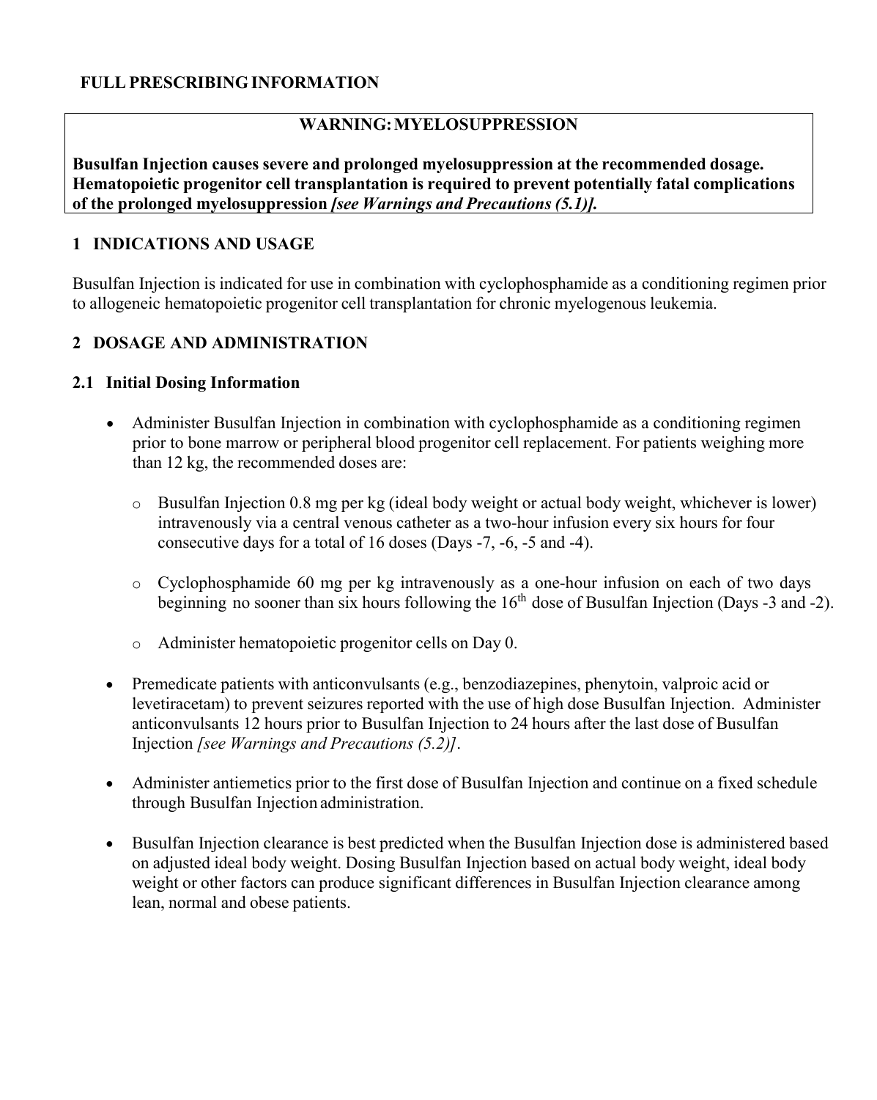### **FULL PRESCRIBING INFORMATION**

### **WARNING:MYELOSUPPRESSION**

**Busulfan Injection causes severe and prolonged myelosuppression at the recommended dosage. Hematopoietic progenitor cell transplantation is required to prevent potentially fatal complications of the prolonged myelosuppression** *[see Warnings and Precautions (5.1)].*

#### **1 INDICATIONS AND USAGE**

Busulfan Injection is indicated for use in combination with cyclophosphamide as a conditioning regimen prior to allogeneic hematopoietic progenitor cell transplantation for chronic myelogenous leukemia.

### **2 DOSAGE AND ADMINISTRATION**

#### **2.1 Initial Dosing Information**

- Administer Busulfan Injection in combination with cyclophosphamide as a conditioning regimen prior to bone marrow or peripheral blood progenitor cell replacement. For patients weighing more than 12 kg, the recommended doses are:
	- o Busulfan Injection 0.8 mg per kg (ideal body weight or actual body weight, whichever is lower) intravenously via a central venous catheter as a two-hour infusion every six hours for four consecutive days for a total of 16 doses (Days -7, -6, -5 and -4).
	- o Cyclophosphamide 60 mg per kg intravenously as a one-hour infusion on each of two days beginning no sooner than six hours following the 16<sup>th</sup> dose of Busulfan Injection (Days -3 and -2).
	- o Administer hematopoietic progenitor cells on Day 0.
- Premedicate patients with anticonvulsants (e.g., benzodiazepines, phenytoin, valproic acid or levetiracetam) to prevent seizures reported with the use of high dose Busulfan Injection. Administer anticonvulsants 12 hours prior to Busulfan Injection to 24 hours after the last dose of Busulfan Injection *[see Warnings and Precautions (5.2)]*.
- Administer antiemetics prior to the first dose of Busulfan Injection and continue on a fixed schedule through Busulfan Injection administration.
- Busulfan Injection clearance is best predicted when the Busulfan Injection dose is administered based on adjusted ideal body weight. Dosing Busulfan Injection based on actual body weight, ideal body weight or other factors can produce significant differences in Busulfan Injection clearance among lean, normal and obese patients.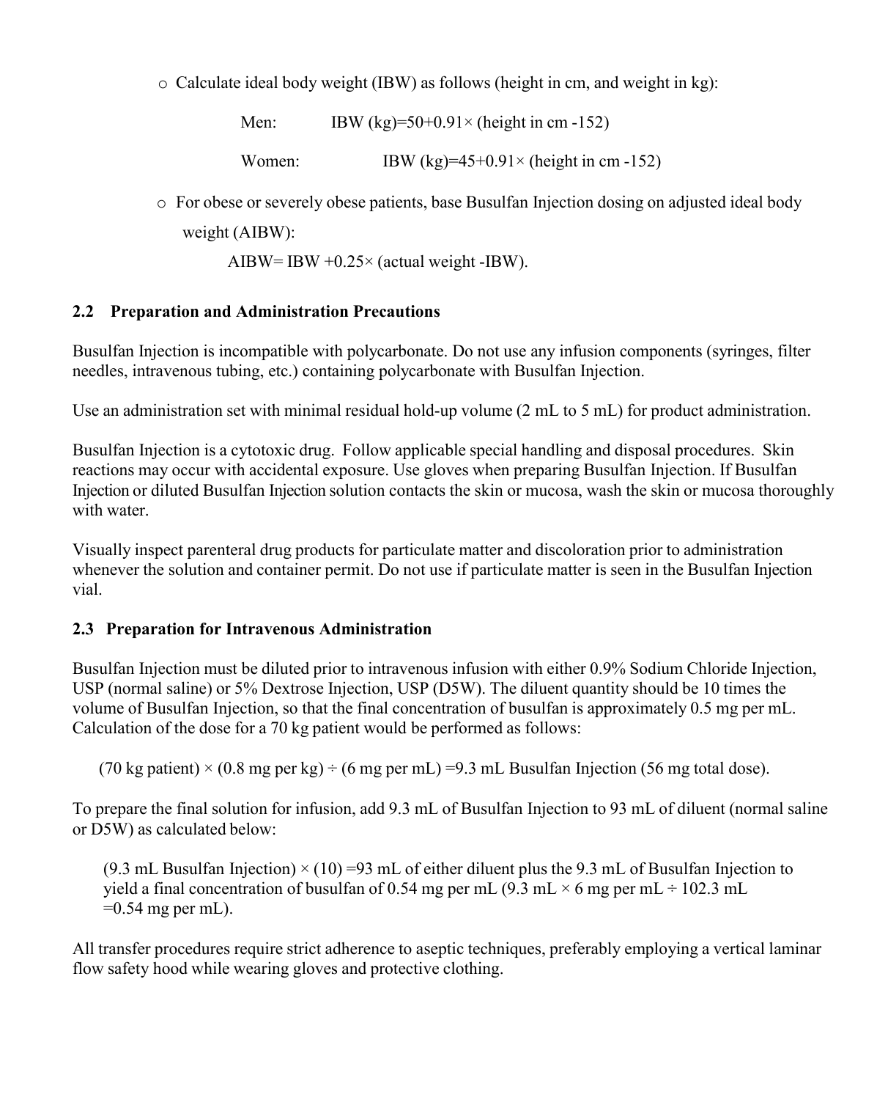$\circ$  Calculate ideal body weight (IBW) as follows (height in cm, and weight in kg):

Men: IBW (kg)= $50+0.91\times$  (height in cm -152)

Women: IBW  $(kg)=45+0.91\times$  (height in cm -152)

o For obese or severely obese patients, base Busulfan Injection dosing on adjusted ideal body weight (AIBW):

AIBW= IBW  $+0.25\times$  (actual weight -IBW).

# **2.2 Preparation and Administration Precautions**

Busulfan Injection is incompatible with polycarbonate. Do not use any infusion components (syringes, filter needles, intravenous tubing, etc.) containing polycarbonate with Busulfan Injection.

Use an administration set with minimal residual hold-up volume (2 mL to 5 mL) for product administration.

Busulfan Injection is a cytotoxic drug. Follow applicable special handling and disposal procedures. Skin reactions may occur with accidental exposure. Use gloves when preparing Busulfan Injection. If Busulfan Injection or diluted Busulfan Injection solution contacts the skin or mucosa, wash the skin or mucosa thoroughly with water.

Visually inspect parenteral drug products for particulate matter and discoloration prior to administration whenever the solution and container permit. Do not use if particulate matter is seen in the Busulfan Injection vial.

# **2.3 Preparation for Intravenous Administration**

Busulfan Injection must be diluted prior to intravenous infusion with either 0.9% Sodium Chloride Injection, USP (normal saline) or 5% Dextrose Injection, USP (D5W). The diluent quantity should be 10 times the volume of Busulfan Injection, so that the final concentration of busulfan is approximately 0.5 mg per mL. Calculation of the dose for a 70 kg patient would be performed as follows:

(70 kg patient)  $\times$  (0.8 mg per kg)  $\div$  (6 mg per mL) =9.3 mL Busulfan Injection (56 mg total dose).

To prepare the final solution for infusion, add 9.3 mL of Busulfan Injection to 93 mL of diluent (normal saline or D5W) as calculated below:

(9.3 mL Busulfan Injection)  $\times$  (10) =93 mL of either diluent plus the 9.3 mL of Busulfan Injection to yield a final concentration of busulfan of 0.54 mg per mL (9.3 mL  $\times$  6 mg per mL  $\div$  102.3 mL  $=0.54$  mg per mL).

All transfer procedures require strict adherence to aseptic techniques, preferably employing a vertical laminar flow safety hood while wearing gloves and protective clothing.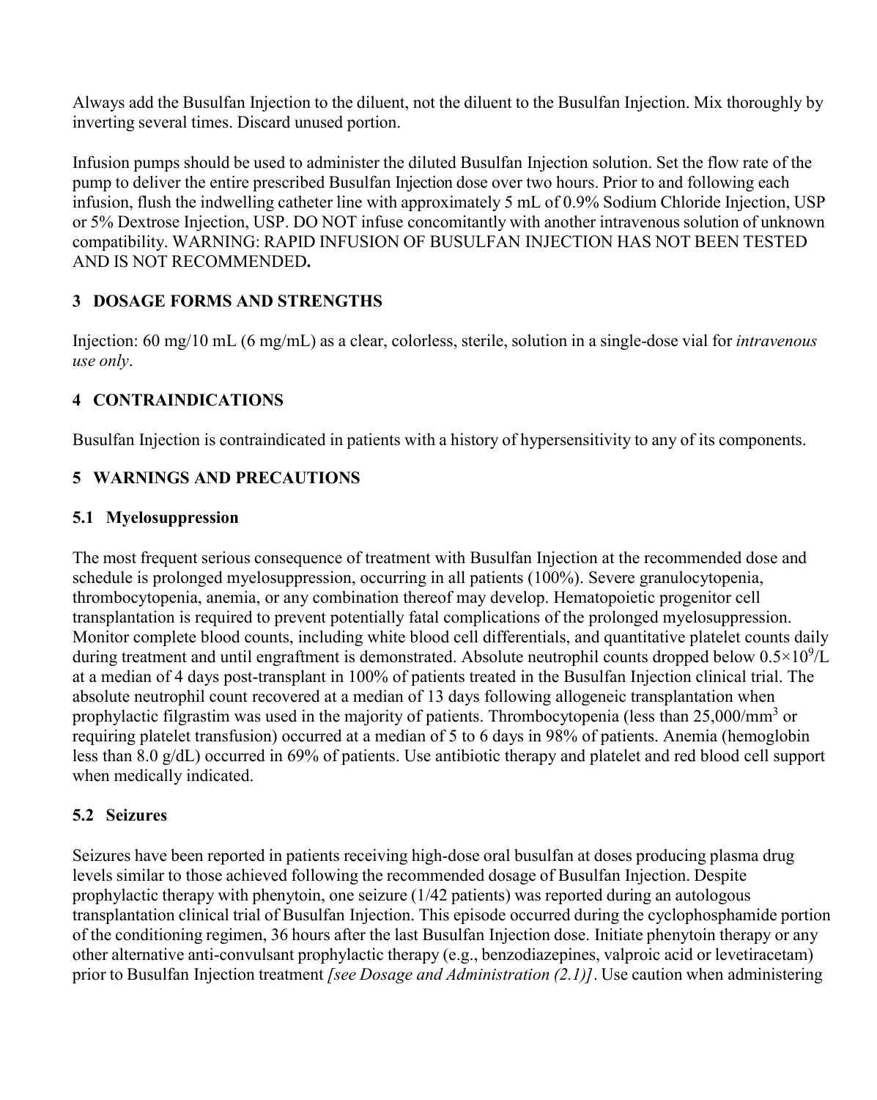Always add the Busulfan Injection to the diluent, not the diluent to the Busulfan Injection. Mix thoroughly by inverting several times. Discard unused portion.

Infusion pumps should be used to administer the diluted Busulfan Injection solution. Set the flow rate of the pump to deliver the entire prescribed Busulfan Injection dose over two hours. Prior to and following each infusion, flush the indwelling catheter line with approximately 5 mL of 0.9% Sodium Chloride Injection, USP or 5% Dextrose Injection, USP. DO NOT infuse concomitantly with another intravenous solution of unknown compatibility. WARNING: RAPID INFUSION OF BUSULFAN INJECTION HAS NOT BEEN TESTED AND IS NOT RECOMMENDED**.**

# **3 DOSAGE FORMS AND STRENGTHS**

Injection: 60 mg/10 mL (6 mg/mL) as a clear, colorless, sterile, solution in a single-dose vial for *intravenous use only*.

# **4 CONTRAINDICATIONS**

Busulfan Injection is contraindicated in patients with a history of hypersensitivity to any of its components.

# **5 WARNINGS AND PRECAUTIONS**

# **5.1 Myelosuppression**

The most frequent serious consequence of treatment with Busulfan Injection at the recommended dose and schedule is prolonged myelosuppression, occurring in all patients (100%). Severe granulocytopenia, thrombocytopenia, anemia, or any combination thereof may develop. Hematopoietic progenitor cell transplantation is required to prevent potentially fatal complications of the prolonged myelosuppression. Monitor complete blood counts, including white blood cell differentials, and quantitative platelet counts daily during treatment and until engraftment is demonstrated. Absolute neutrophil counts dropped below  $0.5 \times 10^9$ /L at a median of 4 days post-transplant in 100% of patients treated in the Busulfan Injection clinical trial. The absolute neutrophil count recovered at a median of 13 days following allogeneic transplantation when prophylactic filgrastim was used in the majority of patients. Thrombocytopenia (less than 25,000/mm<sup>3</sup> or requiring platelet transfusion) occurred at a median of 5 to 6 days in 98% of patients. Anemia (hemoglobin less than 8.0 g/dL) occurred in 69% of patients. Use antibiotic therapy and platelet and red blood cell support when medically indicated.

# **5.2 Seizures**

Seizures have been reported in patients receiving high-dose oral busulfan at doses producing plasma drug levels similar to those achieved following the recommended dosage of Busulfan Injection. Despite prophylactic therapy with phenytoin, one seizure (1/42 patients) was reported during an autologous transplantation clinical trial of Busulfan Injection. This episode occurred during the cyclophosphamide portion of the conditioning regimen, 36 hours after the last Busulfan Injection dose. Initiate phenytoin therapy or any other alternative anti-convulsant prophylactic therapy (e.g., benzodiazepines, valproic acid or levetiracetam) prior to Busulfan Injection treatment *[see Dosage and Administration (2.1)]*. Use caution when administering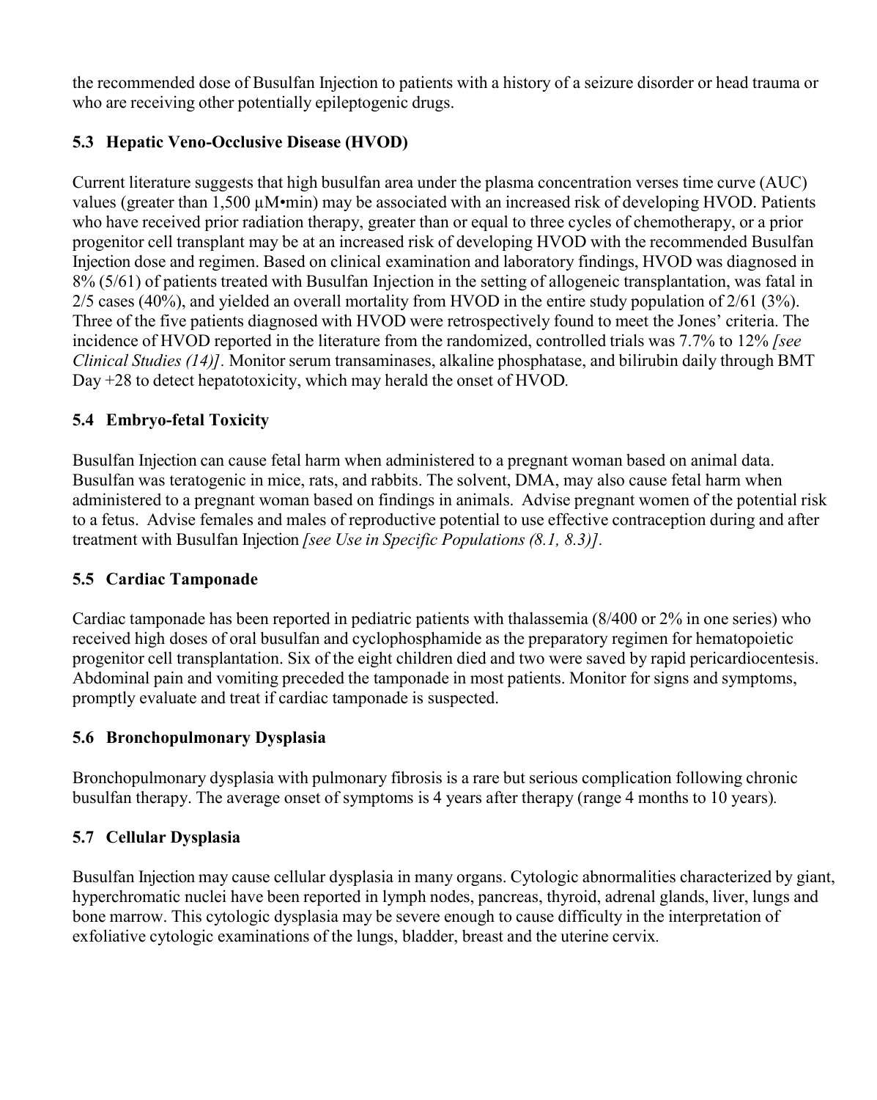the recommended dose of Busulfan Injection to patients with a history of a seizure disorder or head trauma or who are receiving other potentially epileptogenic drugs.

# **5.3 Hepatic Veno-Occlusive Disease (HVOD)**

Current literature suggests that high busulfan area under the plasma concentration verses time curve (AUC) values (greater than 1,500 µM·min) may be associated with an increased risk of developing HVOD. Patients who have received prior radiation therapy, greater than or equal to three cycles of chemotherapy, or a prior progenitor cell transplant may be at an increased risk of developing HVOD with the recommended Busulfan Injection dose and regimen. Based on clinical examination and laboratory findings, HVOD was diagnosed in 8% (5/61) of patients treated with Busulfan Injection in the setting of allogeneic transplantation, was fatal in 2/5 cases (40%), and yielded an overall mortality from HVOD in the entire study population of 2/61 (3%). Three of the five patients diagnosed with HVOD were retrospectively found to meet the Jones' criteria. The incidence of HVOD reported in the literature from the randomized, controlled trials was 7.7% to 12% *[see Clinical Studies (14)].* Monitor serum transaminases, alkaline phosphatase, and bilirubin daily through BMT Day +28 to detect hepatotoxicity, which may herald the onset of HVOD*.*

# **5.4 Embryo-fetal Toxicity**

Busulfan Injection can cause fetal harm when administered to a pregnant woman based on animal data. Busulfan was teratogenic in mice, rats, and rabbits. The solvent, DMA, may also cause fetal harm when administered to a pregnant woman based on findings in animals. Advise pregnant women of the potential risk to a fetus. Advise females and males of reproductive potential to use effective contraception during and after treatment with Busulfan Injection *[see Use in Specific Populations (8.1, 8.3)].*

# **5.5 Cardiac Tamponade**

Cardiac tamponade has been reported in pediatric patients with thalassemia (8/400 or 2% in one series) who received high doses of oral busulfan and cyclophosphamide as the preparatory regimen for hematopoietic progenitor cell transplantation. Six of the eight children died and two were saved by rapid pericardiocentesis. Abdominal pain and vomiting preceded the tamponade in most patients. Monitor for signs and symptoms, promptly evaluate and treat if cardiac tamponade is suspected.

# **5.6 Bronchopulmonary Dysplasia**

Bronchopulmonary dysplasia with pulmonary fibrosis is a rare but serious complication following chronic busulfan therapy. The average onset of symptoms is 4 years after therapy (range 4 months to 10 years)*.*

# **5.7 Cellular Dysplasia**

Busulfan Injection may cause cellular dysplasia in many organs. Cytologic abnormalities characterized by giant, hyperchromatic nuclei have been reported in lymph nodes, pancreas, thyroid, adrenal glands, liver, lungs and bone marrow. This cytologic dysplasia may be severe enough to cause difficulty in the interpretation of exfoliative cytologic examinations of the lungs, bladder, breast and the uterine cervix*.*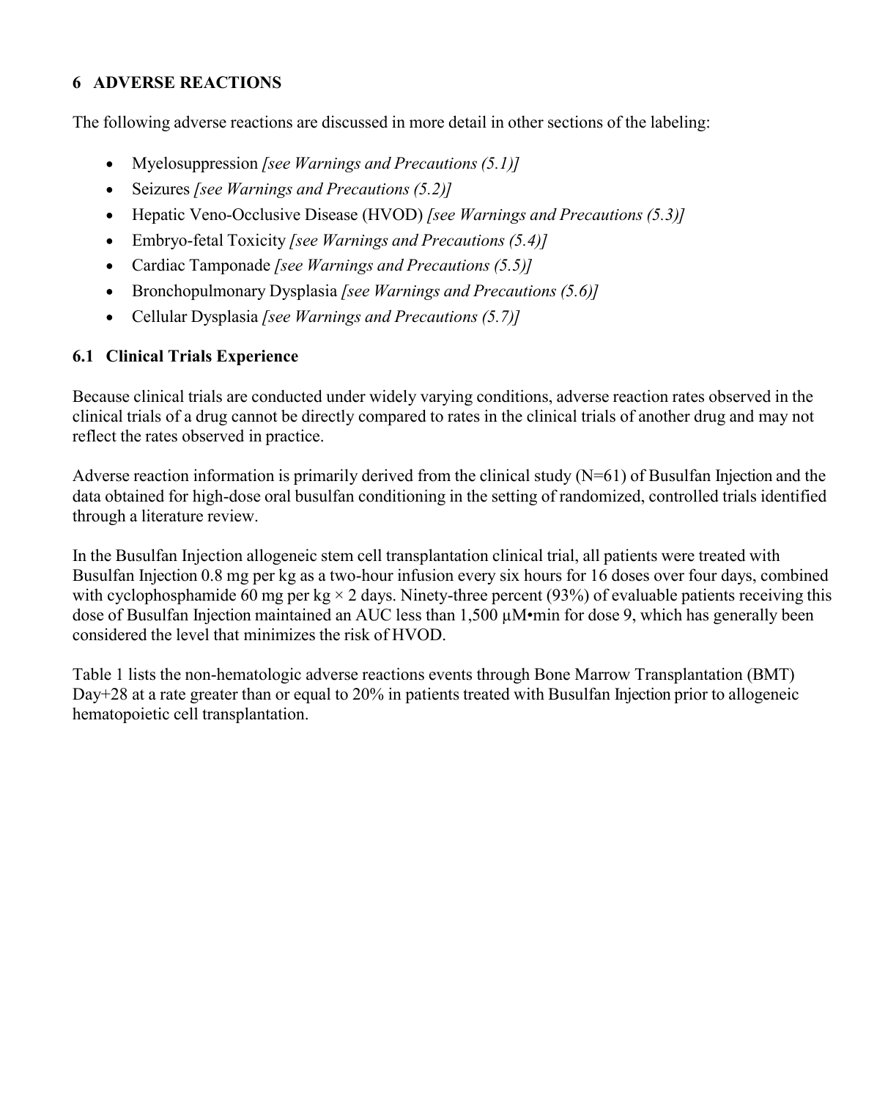# **6 ADVERSE REACTIONS**

The following adverse reactions are discussed in more detail in other sections of the labeling:

- Myelosuppression *[see Warnings and Precautions (5.1)]*
- Seizures *[see Warnings and Precautions (5.2)]*
- Hepatic Veno-Occlusive Disease (HVOD) *[see Warnings and Precautions (5.3)]*
- Embryo-fetal Toxicity *[see Warnings and Precautions (5.4)]*
- Cardiac Tamponade *[see Warnings and Precautions (5.5)]*
- Bronchopulmonary Dysplasia *[see Warnings and Precautions (5.6)]*
- Cellular Dysplasia *[see Warnings and Precautions (5.7)]*

# **6.1 Clinical Trials Experience**

Because clinical trials are conducted under widely varying conditions, adverse reaction rates observed in the clinical trials of a drug cannot be directly compared to rates in the clinical trials of another drug and may not reflect the rates observed in practice.

Adverse reaction information is primarily derived from the clinical study (N=61) of Busulfan Injection and the data obtained for high-dose oral busulfan conditioning in the setting of randomized, controlled trials identified through a literature review.

In the Busulfan Injection allogeneic stem cell transplantation clinical trial, all patients were treated with Busulfan Injection 0.8 mg per kg as a two-hour infusion every six hours for 16 doses over four days, combined with cyclophosphamide 60 mg per kg  $\times$  2 days. Ninety-three percent (93%) of evaluable patients receiving this dose of Busulfan Injection maintained an AUC less than 1,500 µM•min for dose 9, which has generally been considered the level that minimizes the risk of HVOD.

Table 1 lists the non-hematologic adverse reactions events through Bone Marrow Transplantation (BMT) Day+28 at a rate greater than or equal to 20% in patients treated with Busulfan Injection prior to allogeneic hematopoietic cell transplantation.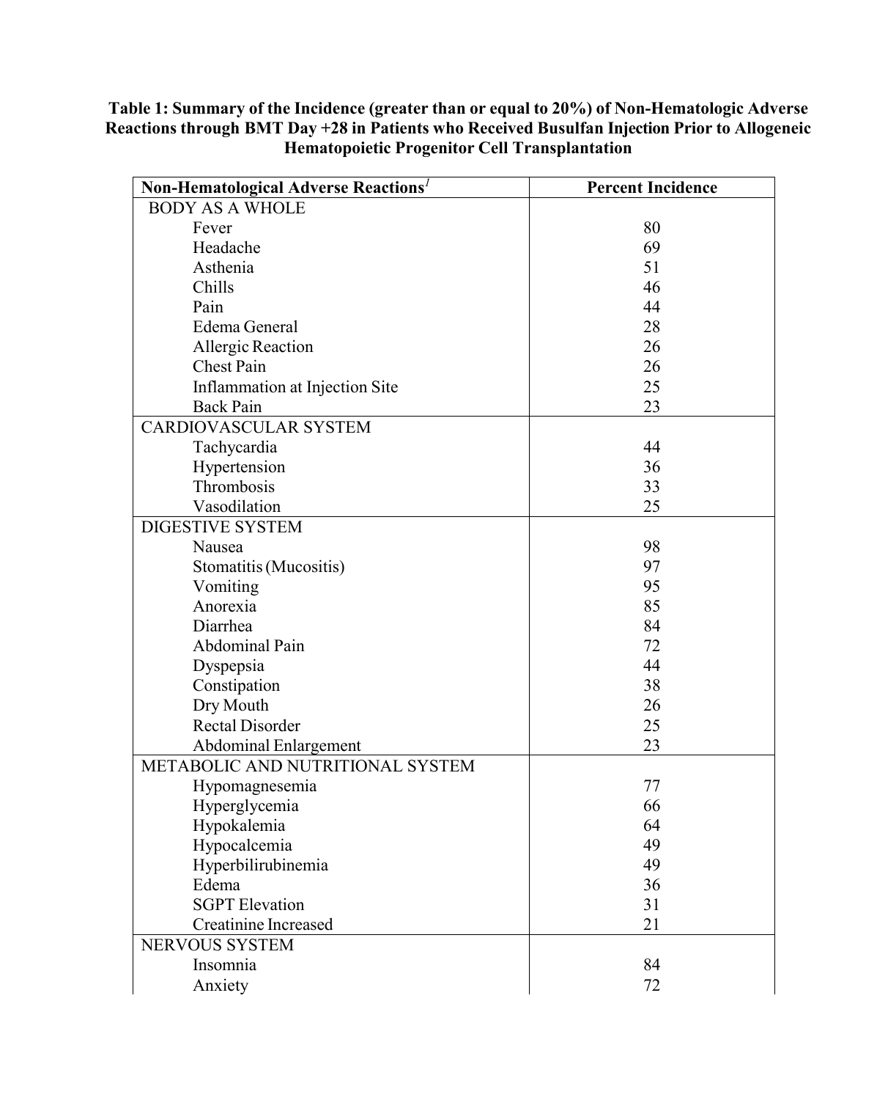#### **Table 1: Summary of the Incidence (greater than or equal to 20%) of Non-Hematologic Adverse Reactions through BMT Day +28 in Patients who Received Busulfan Injection Prior to Allogeneic Hematopoietic Progenitor Cell Transplantation**

| Non-Hematological Adverse Reactions <sup>1</sup> | <b>Percent Incidence</b> |
|--------------------------------------------------|--------------------------|
| <b>BODY AS A WHOLE</b>                           |                          |
| Fever                                            | 80                       |
| Headache                                         | 69                       |
| Asthenia                                         | 51                       |
| Chills                                           | 46                       |
| Pain                                             | 44                       |
| Edema General                                    | 28                       |
| Allergic Reaction                                | 26                       |
| <b>Chest Pain</b>                                | 26                       |
| Inflammation at Injection Site                   | 25                       |
| <b>Back Pain</b>                                 | 23                       |
| <b>CARDIOVASCULAR SYSTEM</b>                     |                          |
| Tachycardia                                      | 44                       |
| Hypertension                                     | 36                       |
| Thrombosis                                       | 33                       |
| Vasodilation                                     | 25                       |
| <b>DIGESTIVE SYSTEM</b>                          |                          |
| Nausea                                           | 98                       |
| Stomatitis (Mucositis)                           | 97                       |
| Vomiting                                         | 95                       |
| Anorexia                                         | 85                       |
| Diarrhea                                         | 84                       |
| Abdominal Pain                                   | 72                       |
| Dyspepsia                                        | 44                       |
| Constipation                                     | 38                       |
| Dry Mouth                                        | 26                       |
| <b>Rectal Disorder</b>                           | 25                       |
| <b>Abdominal Enlargement</b>                     | 23                       |
| METABOLIC AND NUTRITIONAL SYSTEM                 |                          |
| Hypomagnesemia                                   | 77                       |
| Hyperglycemia                                    | 66                       |
| Hypokalemia                                      | 64                       |
| Hypocalcemia                                     | 49                       |
| Hyperbilirubinemia                               | 49                       |
| Edema                                            | 36                       |
| <b>SGPT</b> Elevation                            | 31                       |
| <b>Creatinine Increased</b>                      | 21                       |
| NERVOUS SYSTEM                                   |                          |
| Insomnia                                         | 84                       |
| Anxiety                                          | 72                       |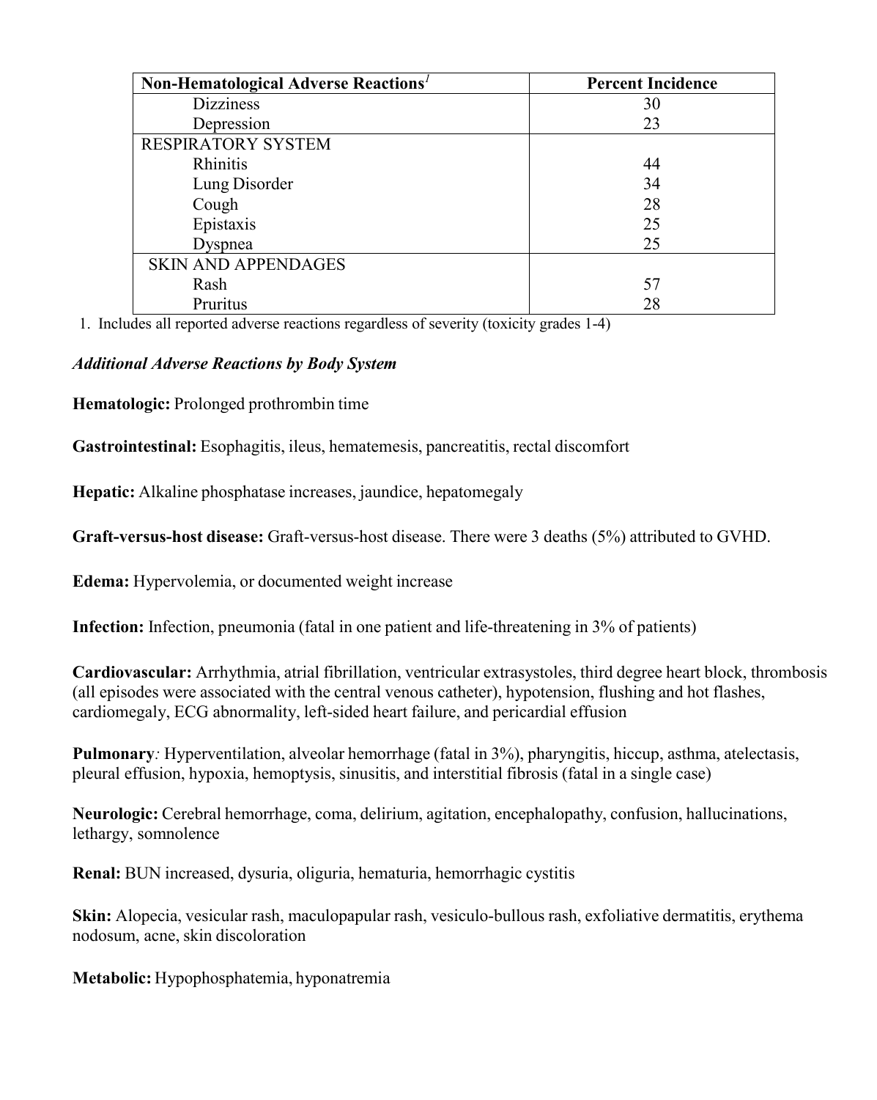| Non-Hematological Adverse Reactions <sup>1</sup> | <b>Percent Incidence</b> |  |  |
|--------------------------------------------------|--------------------------|--|--|
| <b>Dizziness</b>                                 | 30                       |  |  |
| Depression                                       | 23                       |  |  |
| <b>RESPIRATORY SYSTEM</b>                        |                          |  |  |
| Rhinitis                                         | 44                       |  |  |
| Lung Disorder                                    | 34                       |  |  |
| Cough                                            | 28                       |  |  |
| Epistaxis                                        | 25                       |  |  |
| Dyspnea                                          | 25                       |  |  |
| <b>SKIN AND APPENDAGES</b>                       |                          |  |  |
| Rash                                             | 57                       |  |  |
| Pruritus                                         | 28                       |  |  |

1. Includes all reported adverse reactions regardless of severity (toxicity grades 1-4)

### *Additional Adverse Reactions by Body System*

**Hematologic:** Prolonged prothrombin time

**Gastrointestinal:** Esophagitis, ileus, hematemesis, pancreatitis, rectal discomfort

**Hepatic:** Alkaline phosphatase increases, jaundice, hepatomegaly

**Graft-versus-host disease:** Graft-versus-host disease. There were 3 deaths (5%) attributed to GVHD.

**Edema:** Hypervolemia, or documented weight increase

**Infection:** Infection, pneumonia (fatal in one patient and life-threatening in 3% of patients)

**Cardiovascular:** Arrhythmia, atrial fibrillation, ventricular extrasystoles, third degree heart block, thrombosis (all episodes were associated with the central venous catheter), hypotension, flushing and hot flashes, cardiomegaly, ECG abnormality, left-sided heart failure, and pericardial effusion

**Pulmonary***:* Hyperventilation, alveolar hemorrhage (fatal in 3%), pharyngitis, hiccup, asthma, atelectasis, pleural effusion, hypoxia, hemoptysis, sinusitis, and interstitial fibrosis (fatal in a single case)

**Neurologic:** Cerebral hemorrhage, coma, delirium, agitation, encephalopathy, confusion, hallucinations, lethargy, somnolence

**Renal:** BUN increased, dysuria, oliguria, hematuria, hemorrhagic cystitis

**Skin:** Alopecia, vesicular rash, maculopapular rash, vesiculo-bullous rash, exfoliative dermatitis, erythema nodosum, acne, skin discoloration

**Metabolic:** Hypophosphatemia, hyponatremia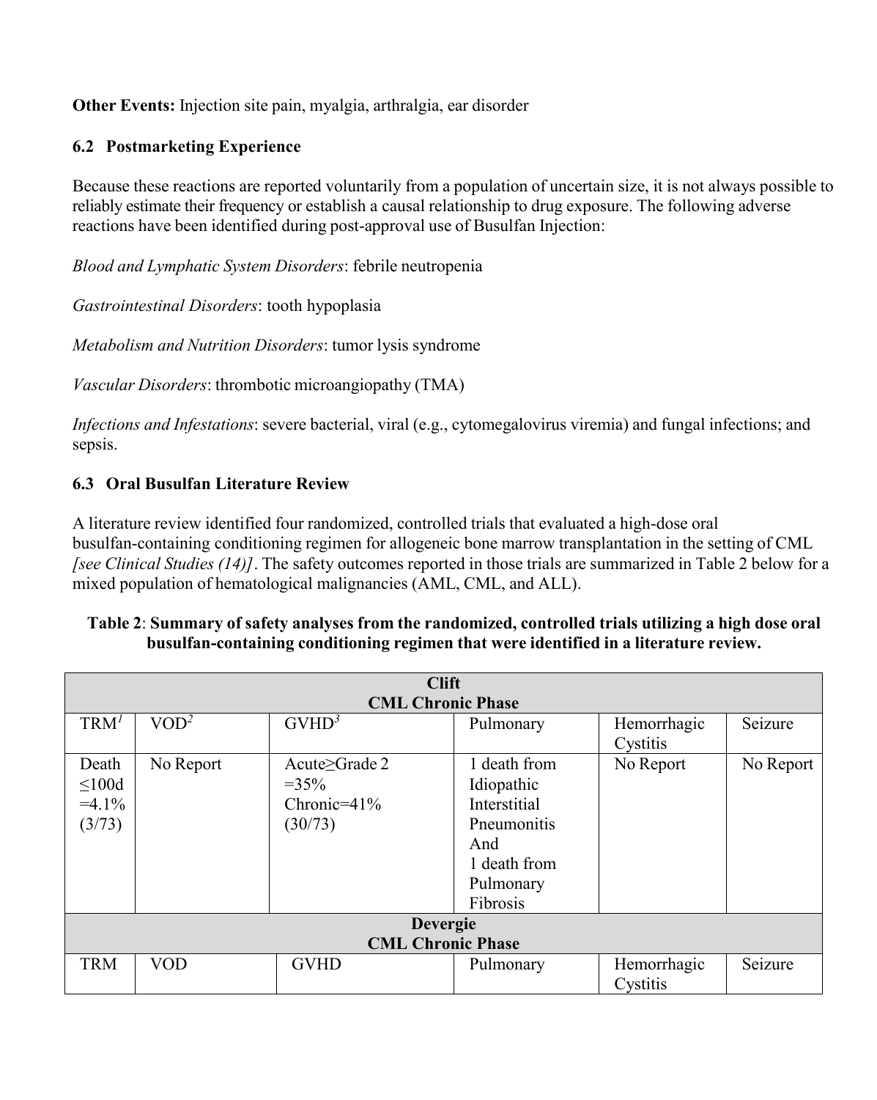**Other Events:** Injection site pain, myalgia, arthralgia, ear disorder

# **6.2 Postmarketing Experience**

Because these reactions are reported voluntarily from a population of uncertain size, it is not always possible to reliably estimate their frequency or establish a causal relationship to drug exposure. The following adverse reactions have been identified during post-approval use of Busulfan Injection:

*Blood and Lymphatic System Disorders*: febrile neutropenia

*Gastrointestinal Disorders*: tooth hypoplasia

*Metabolism and Nutrition Disorders*: tumor lysis syndrome

*Vascular Disorders*: thrombotic microangiopathy (TMA)

*Infections and Infestations*: severe bacterial, viral (e.g., cytomegalovirus viremia) and fungal infections; and sepsis.

# **6.3 Oral Busulfan Literature Review**

A literature review identified four randomized, controlled trials that evaluated a high-dose oral busulfan-containing conditioning regimen for allogeneic bone marrow transplantation in the setting of CML *[see Clinical Studies (14)]*. The safety outcomes reported in those trials are summarized in Table 2 below for a mixed population of hematological malignancies (AML, CML, and ALL).

### **Table 2**: **Summary of safety analyses from the randomized, controlled trials utilizing a high dose oral busulfan-containing conditioning regimen that were identified in a literature review.**

|                                            | <b>Clift</b>             |                                                        |                                                                                                           |                         |           |  |  |
|--------------------------------------------|--------------------------|--------------------------------------------------------|-----------------------------------------------------------------------------------------------------------|-------------------------|-----------|--|--|
|                                            | <b>CML Chronic Phase</b> |                                                        |                                                                                                           |                         |           |  |  |
| TRM <sup>1</sup>                           | VOD <sup>2</sup>         | $GVHD^3$                                               | Pulmonary                                                                                                 | Hemorrhagic<br>Cystitis | Seizure   |  |  |
| Death<br>$\leq 100d$<br>$=4.1\%$<br>(3/73) | No Report                | Acute≥Grade 2<br>$=35\%$<br>Chronic= $41\%$<br>(30/73) | 1 death from<br>Idiopathic<br>Interstitial<br>Pneumonitis<br>And<br>1 death from<br>Pulmonary<br>Fibrosis | No Report               | No Report |  |  |
| <b>Devergie</b>                            |                          |                                                        |                                                                                                           |                         |           |  |  |
| <b>CML Chronic Phase</b>                   |                          |                                                        |                                                                                                           |                         |           |  |  |
| <b>TRM</b>                                 | <b>VOD</b>               | <b>GVHD</b>                                            | Pulmonary                                                                                                 | Hemorrhagic<br>Cystitis | Seizure   |  |  |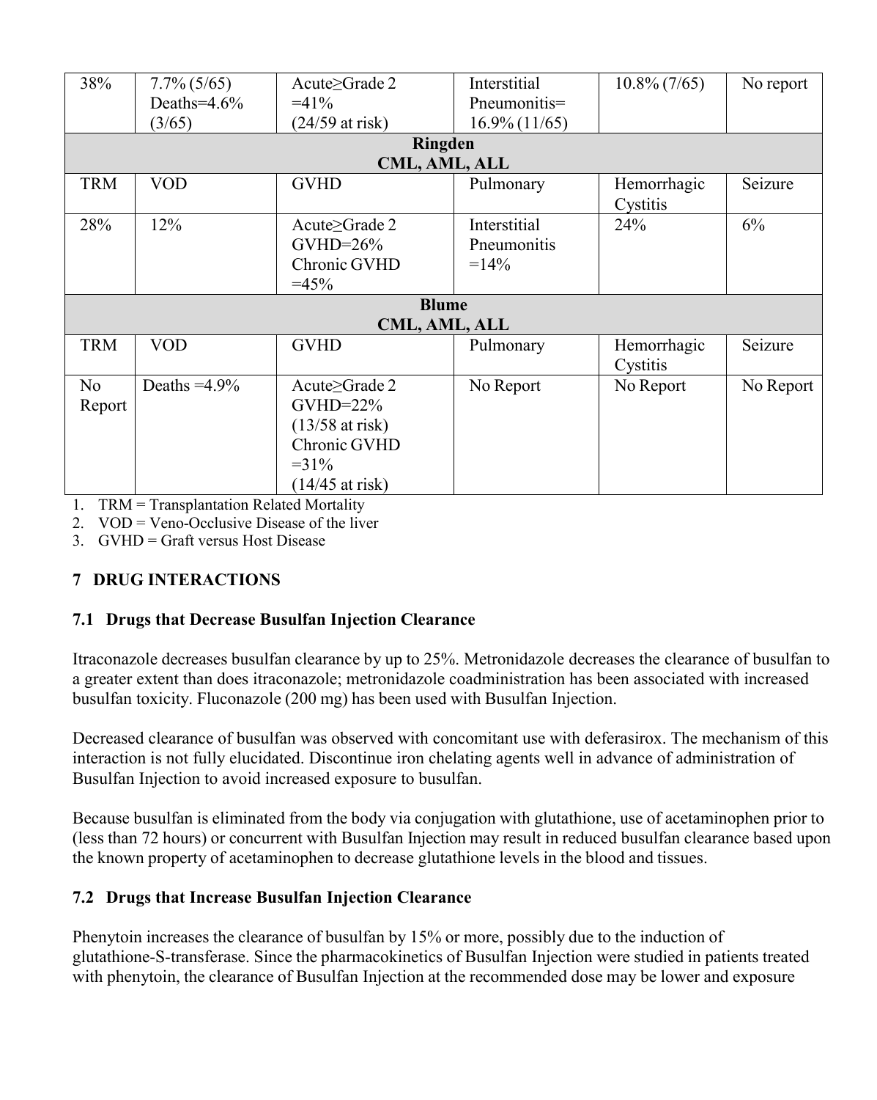| 38%            | $7.7\%$ (5/65)  | Acute $\geq$ Grade 2 | Interstitial     | $10.8\% (7/65)$ | No report |  |
|----------------|-----------------|----------------------|------------------|-----------------|-----------|--|
|                | Deaths= $4.6\%$ | $=41\%$              | Pneumonitis=     |                 |           |  |
|                | (3/65)          | (24/59 at risk)      | $16.9\% (11/65)$ |                 |           |  |
|                |                 | <b>Ringden</b>       |                  |                 |           |  |
|                |                 |                      |                  |                 |           |  |
|                |                 | CML, AML, ALL        |                  |                 |           |  |
| <b>TRM</b>     | <b>VOD</b>      | <b>GVHD</b>          | Pulmonary        | Hemorrhagic     | Seizure   |  |
|                |                 |                      |                  | Cystitis        |           |  |
| 28%            | 12%             | Acute $\geq$ Grade 2 | Interstitial     | 24%             | 6%        |  |
|                |                 | $GVHD=26\%$          | Pneumonitis      |                 |           |  |
|                |                 | Chronic GVHD         | $=14\%$          |                 |           |  |
|                |                 | $=45%$               |                  |                 |           |  |
|                |                 |                      |                  |                 |           |  |
| <b>Blume</b>   |                 |                      |                  |                 |           |  |
| CML, AML, ALL  |                 |                      |                  |                 |           |  |
| <b>TRM</b>     | <b>VOD</b>      | <b>GVHD</b>          | Pulmonary        | Hemorrhagic     | Seizure   |  |
|                |                 |                      |                  | Cystitis        |           |  |
| N <sub>o</sub> | Deaths $=4.9\%$ | Acute≥Grade 2        | No Report        | No Report       | No Report |  |
| Report         |                 | $GVHD=22\%$          |                  |                 |           |  |
|                |                 | $(13/58$ at risk)    |                  |                 |           |  |
|                |                 |                      |                  |                 |           |  |
|                |                 | Chronic GVHD         |                  |                 |           |  |
|                |                 | $=31\%$              |                  |                 |           |  |
|                |                 | $(14/45$ at risk)    |                  |                 |           |  |

1. TRM = Transplantation Related Mortality

2. VOD = Veno-Occlusive Disease of the liver

3. GVHD = Graft versus Host Disease

# **7 DRUG INTERACTIONS**

# **7.1 Drugs that Decrease Busulfan Injection Clearance**

Itraconazole decreases busulfan clearance by up to 25%. Metronidazole decreases the clearance of busulfan to a greater extent than does itraconazole; metronidazole coadministration has been associated with increased busulfan toxicity. Fluconazole (200 mg) has been used with Busulfan Injection.

Decreased clearance of busulfan was observed with concomitant use with deferasirox. The mechanism of this interaction is not fully elucidated. Discontinue iron chelating agents well in advance of administration of Busulfan Injection to avoid increased exposure to busulfan.

Because busulfan is eliminated from the body via conjugation with glutathione, use of acetaminophen prior to (less than 72 hours) or concurrent with Busulfan Injection may result in reduced busulfan clearance based upon the known property of acetaminophen to decrease glutathione levels in the blood and tissues.

# **7.2 Drugs that Increase Busulfan Injection Clearance**

Phenytoin increases the clearance of busulfan by 15% or more, possibly due to the induction of glutathione-S-transferase. Since the pharmacokinetics of Busulfan Injection were studied in patients treated with phenytoin, the clearance of Busulfan Injection at the recommended dose may be lower and exposure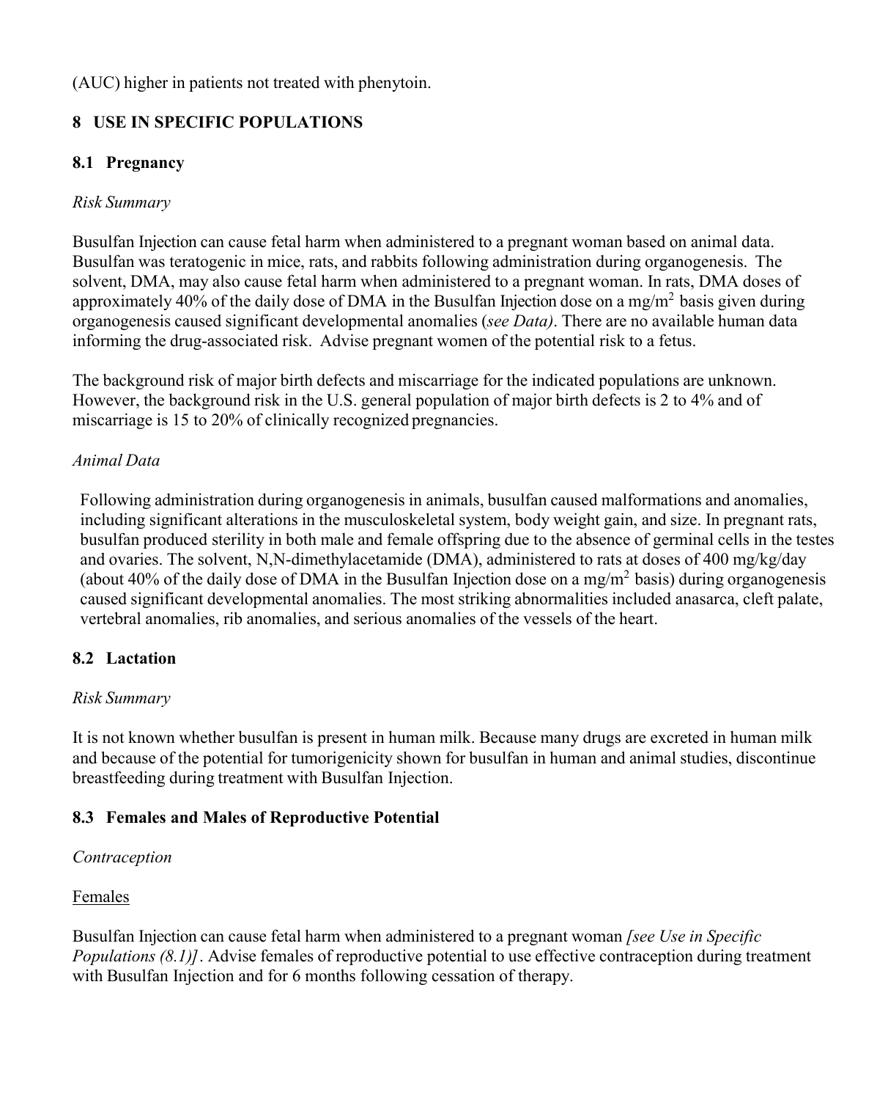(AUC) higher in patients not treated with phenytoin.

# **8 USE IN SPECIFIC POPULATIONS**

# **8.1 Pregnancy**

# *Risk Summary*

Busulfan Injection can cause fetal harm when administered to a pregnant woman based on animal data. Busulfan was teratogenic in mice, rats, and rabbits following administration during organogenesis. The solvent, DMA, may also cause fetal harm when administered to a pregnant woman. In rats, DMA doses of approximately 40% of the daily dose of DMA in the Busulfan Injection dose on a mg/m<sup>2</sup> basis given during organogenesis caused significant developmental anomalies (*see Data)*. There are no available human data informing the drug-associated risk. Advise pregnant women of the potential risk to a fetus.

The background risk of major birth defects and miscarriage for the indicated populations are unknown. However, the background risk in the U.S. general population of major birth defects is 2 to 4% and of miscarriage is 15 to 20% of clinically recognized pregnancies.

# *Animal Data*

Following administration during organogenesis in animals, busulfan caused malformations and anomalies, including significant alterations in the musculoskeletal system, body weight gain, and size. In pregnant rats, busulfan produced sterility in both male and female offspring due to the absence of germinal cells in the testes and ovaries. The solvent, N,N-dimethylacetamide (DMA), administered to rats at doses of 400 mg/kg/day (about 40% of the daily dose of DMA in the Busulfan Injection dose on a mg/m<sup>2</sup> basis) during organogenesis caused significant developmental anomalies. The most striking abnormalities included anasarca, cleft palate, vertebral anomalies, rib anomalies, and serious anomalies of the vessels of the heart.

# **8.2 Lactation**

# *Risk Summary*

It is not known whether busulfan is present in human milk. Because many drugs are excreted in human milk and because of the potential for tumorigenicity shown for busulfan in human and animal studies, discontinue breastfeeding during treatment with Busulfan Injection.

# **8.3 Females and Males of Reproductive Potential**

# *Contraception*

# Females

Busulfan Injection can cause fetal harm when administered to a pregnant woman *[see Use in Specific Populations (8.1)]*. Advise females of reproductive potential to use effective contraception during treatment with Busulfan Injection and for 6 months following cessation of therapy.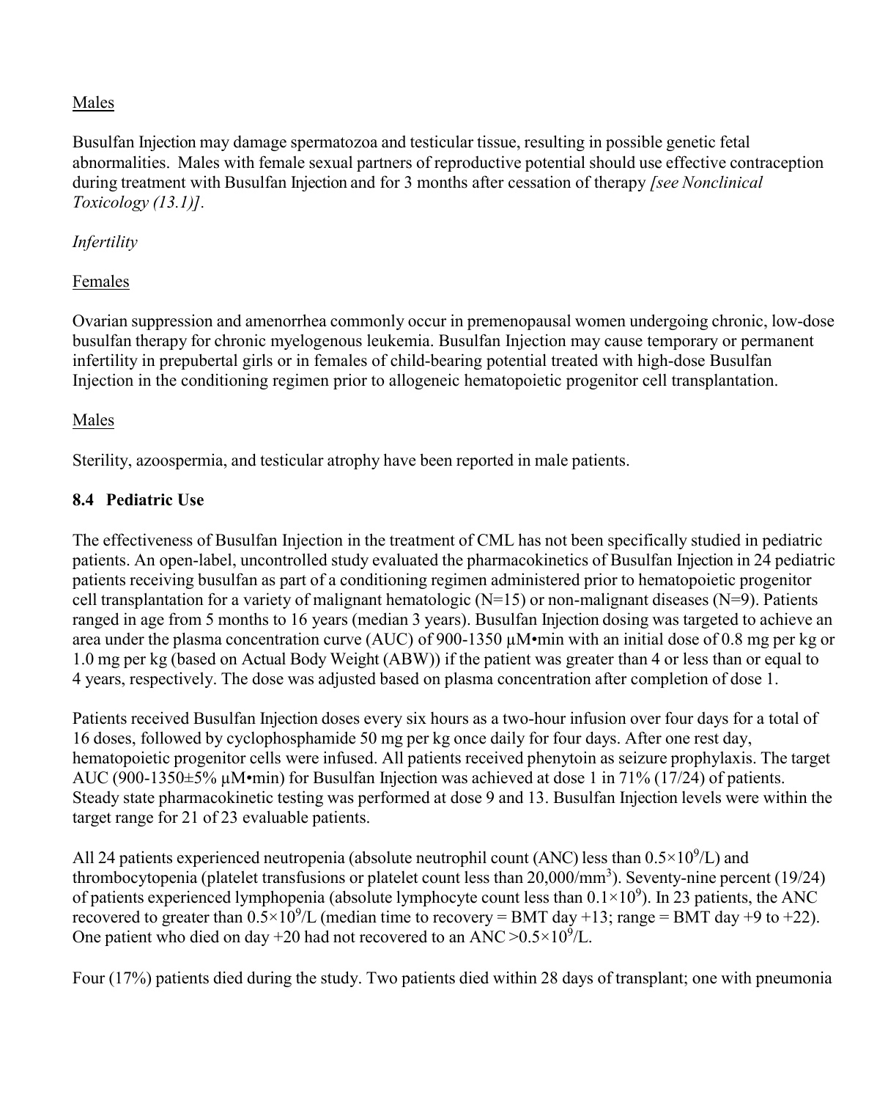# Males

Busulfan Injection may damage spermatozoa and testicular tissue, resulting in possible genetic fetal abnormalities. Males with female sexual partners of reproductive potential should use effective contraception during treatment with Busulfan Injection and for 3 months after cessation of therapy *[see Nonclinical Toxicology (13.1)].*

### *Infertility*

# Females

Ovarian suppression and amenorrhea commonly occur in premenopausal women undergoing chronic, low-dose busulfan therapy for chronic myelogenous leukemia. Busulfan Injection may cause temporary or permanent infertility in prepubertal girls or in females of child-bearing potential treated with high-dose Busulfan Injection in the conditioning regimen prior to allogeneic hematopoietic progenitor cell transplantation.

# Males

Sterility, azoospermia, and testicular atrophy have been reported in male patients.

# **8.4 Pediatric Use**

The effectiveness of Busulfan Injection in the treatment of CML has not been specifically studied in pediatric patients. An open-label, uncontrolled study evaluated the pharmacokinetics of Busulfan Injection in 24 pediatric patients receiving busulfan as part of a conditioning regimen administered prior to hematopoietic progenitor cell transplantation for a variety of malignant hematologic ( $N=15$ ) or non-malignant diseases ( $N=9$ ). Patients ranged in age from 5 months to 16 years (median 3 years). Busulfan Injection dosing was targeted to achieve an area under the plasma concentration curve (AUC) of 900-1350 µM•min with an initial dose of 0.8 mg per kg or 1.0 mg per kg (based on Actual Body Weight (ABW)) if the patient was greater than 4 or less than or equal to 4 years, respectively. The dose was adjusted based on plasma concentration after completion of dose 1.

Patients received Busulfan Injection doses every six hours as a two-hour infusion over four days for a total of 16 doses, followed by cyclophosphamide 50 mg per kg once daily for four days. After one rest day, hematopoietic progenitor cells were infused. All patients received phenytoin as seizure prophylaxis. The target AUC (900-1350±5% µM•min) for Busulfan Injection was achieved at dose 1 in 71% (17/24) of patients. Steady state pharmacokinetic testing was performed at dose 9 and 13. Busulfan Injection levels were within the target range for 21 of 23 evaluable patients.

All 24 patients experienced neutropenia (absolute neutrophil count (ANC) less than  $0.5 \times 10^9$ /L) and thrombocytopenia (platelet transfusions or platelet count less than 20,000/mm<sup>3</sup>). Seventy-nine percent (19/24) of patients experienced lymphopenia (absolute lymphocyte count less than  $0.1 \times 10^9$ ). In 23 patients, the ANC recovered to greater than  $0.5 \times 10^9$ /L (median time to recovery = BMT day +13; range = BMT day +9 to +22). One patient who died on day +20 had not recovered to an ANC  $>0.5\times10^9$ /L.

Four (17%) patients died during the study. Two patients died within 28 days of transplant; one with pneumonia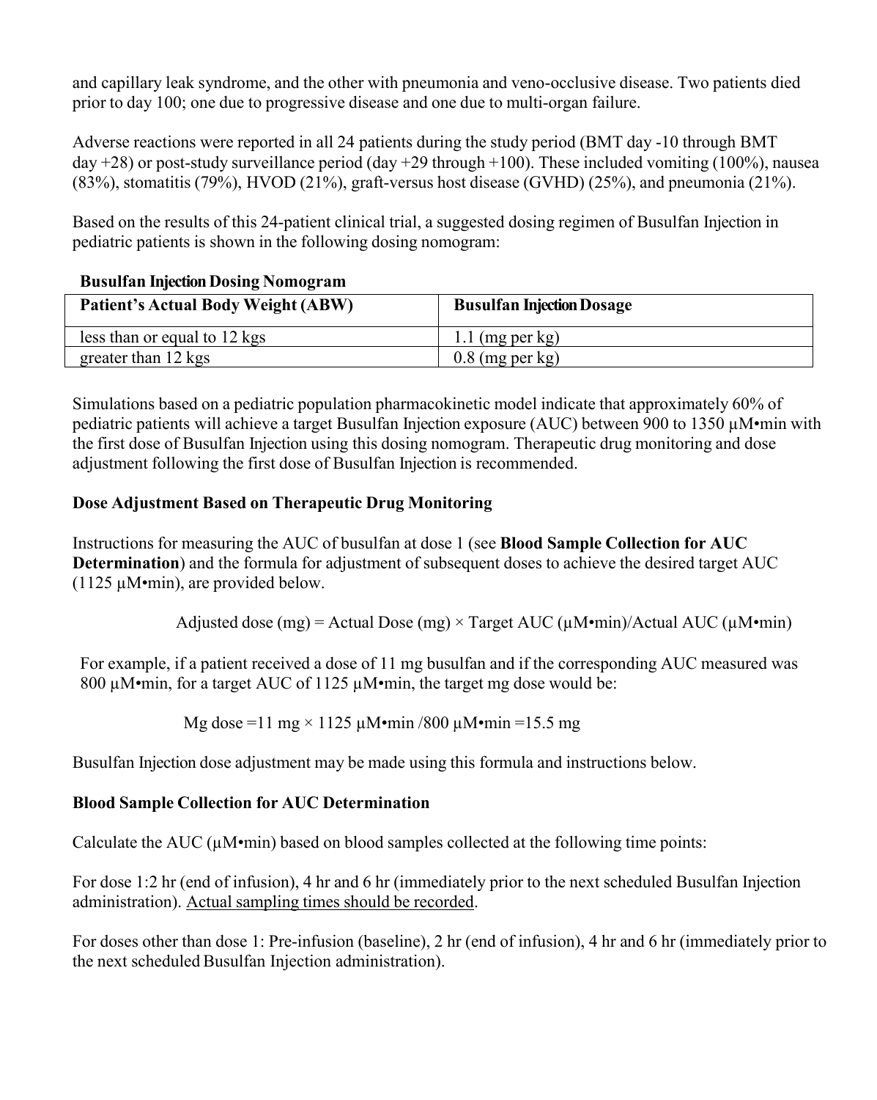and capillary leak syndrome, and the other with pneumonia and veno-occlusive disease. Two patients died prior to day 100; one due to progressive disease and one due to multi-organ failure.

Adverse reactions were reported in all 24 patients during the study period (BMT day -10 through BMT day +28) or post-study surveillance period (day +29 through +100). These included vomiting (100%), nausea (83%), stomatitis (79%), HVOD (21%), graft-versus host disease (GVHD) (25%), and pneumonia (21%).

Based on the results of this 24-patient clinical trial, a suggested dosing regimen of Busulfan Injection in pediatric patients is shown in the following dosing nomogram:

| $D$ usunan mjecuon $D$ osm $\epsilon$ 1 (omogram |                                  |
|--------------------------------------------------|----------------------------------|
| Patient's Actual Body Weight (ABW)               | <b>Busulfan Injection Dosage</b> |
| less than or equal to 12 kgs                     | $1.1$ (mg per kg)                |
| greater than 12 kgs                              | $0.8$ (mg per kg)                |

# **Busulfan Injection Dosing Nomogram**

Simulations based on a pediatric population pharmacokinetic model indicate that approximately 60% of pediatric patients will achieve a target Busulfan Injection exposure (AUC) between 900 to 1350 µM•min with the first dose of Busulfan Injection using this dosing nomogram. Therapeutic drug monitoring and dose adjustment following the first dose of Busulfan Injection is recommended.

# **Dose Adjustment Based on Therapeutic Drug Monitoring**

Instructions for measuring the AUC of busulfan at dose 1 (see **Blood Sample Collection for AUC Determination**) and the formula for adjustment of subsequent doses to achieve the desired target AUC (1125 µM•min), are provided below.

Adjusted dose (mg) = Actual Dose (mg)  $\times$  Target AUC ( $\mu$ M•min)/Actual AUC ( $\mu$ M•min)

For example, if a patient received a dose of 11 mg busulfan and if the corresponding AUC measured was 800 µM•min, for a target AUC of 1125 µM•min, the target mg dose would be:

Mg dose =11 mg  $\times$  1125 µM•min /800 µM•min =15.5 mg

Busulfan Injection dose adjustment may be made using this formula and instructions below.

# **Blood Sample Collection for AUC Determination**

Calculate the AUC  $(\mu M \cdot min)$  based on blood samples collected at the following time points:

For dose 1:2 hr (end of infusion), 4 hr and 6 hr (immediately prior to the next scheduled Busulfan Injection administration). Actual sampling times should be recorded.

For doses other than dose 1: Pre-infusion (baseline), 2 hr (end of infusion), 4 hr and 6 hr (immediately prior to the next scheduled Busulfan Injection administration).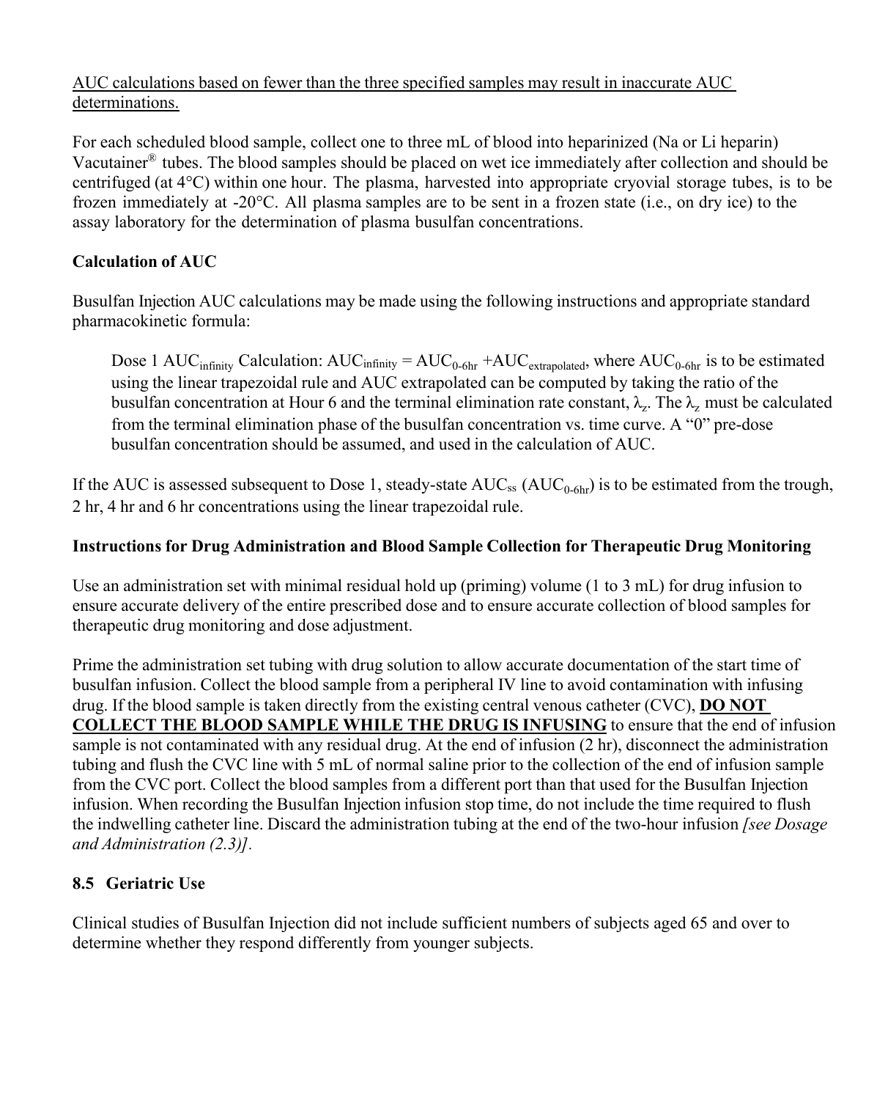# AUC calculations based on fewer than the three specified samples may result in inaccurate AUC determinations.

For each scheduled blood sample, collect one to three mL of blood into heparinized (Na or Li heparin) Vacutainer® tubes. The blood samples should be placed on wet ice immediately after collection and should be centrifuged (at 4°C) within one hour. The plasma, harvested into appropriate cryovial storage tubes, is to be frozen immediately at -20°C. All plasma samples are to be sent in a frozen state (i.e., on dry ice) to the assay laboratory for the determination of plasma busulfan concentrations.

# **Calculation of AUC**

Busulfan Injection AUC calculations may be made using the following instructions and appropriate standard pharmacokinetic formula:

Dose 1 AUC<sub>infinity</sub> Calculation:  $AUC_{infinity} = AUC_{0.6hr} + AUC_{extrapolated}$ , where  $AUC_{0.6hr}$  is to be estimated using the linear trapezoidal rule and AUC extrapolated can be computed by taking the ratio of the busulfan concentration at Hour 6 and the terminal elimination rate constant,  $\lambda_z$ . The  $\lambda_z$  must be calculated from the terminal elimination phase of the busulfan concentration vs. time curve. A "0" pre-dose busulfan concentration should be assumed, and used in the calculation of AUC.

If the AUC is assessed subsequent to Dose 1, steady-state  $\rm AUC_{ss}$   $\rm (AUC_{0-6hr})$  is to be estimated from the trough, 2 hr, 4 hr and 6 hr concentrations using the linear trapezoidal rule.

# **Instructions for Drug Administration and Blood Sample Collection for Therapeutic Drug Monitoring**

Use an administration set with minimal residual hold up (priming) volume (1 to 3 mL) for drug infusion to ensure accurate delivery of the entire prescribed dose and to ensure accurate collection of blood samples for therapeutic drug monitoring and dose adjustment.

Prime the administration set tubing with drug solution to allow accurate documentation of the start time of busulfan infusion. Collect the blood sample from a peripheral IV line to avoid contamination with infusing drug. If the blood sample is taken directly from the existing central venous catheter (CVC), **DO NOT COLLECT THE BLOOD SAMPLE WHILE THE DRUG IS INFUSING** to ensure that the end of infusion sample is not contaminated with any residual drug. At the end of infusion (2 hr), disconnect the administration tubing and flush the CVC line with 5 mL of normal saline prior to the collection of the end of infusion sample from the CVC port. Collect the blood samples from a different port than that used for the Busulfan Injection infusion. When recording the Busulfan Injection infusion stop time, do not include the time required to flush the indwelling catheter line. Discard the administration tubing at the end of the two-hour infusion *[see Dosage and Administration (2.3)].*

# **8.5 Geriatric Use**

Clinical studies of Busulfan Injection did not include sufficient numbers of subjects aged 65 and over to determine whether they respond differently from younger subjects.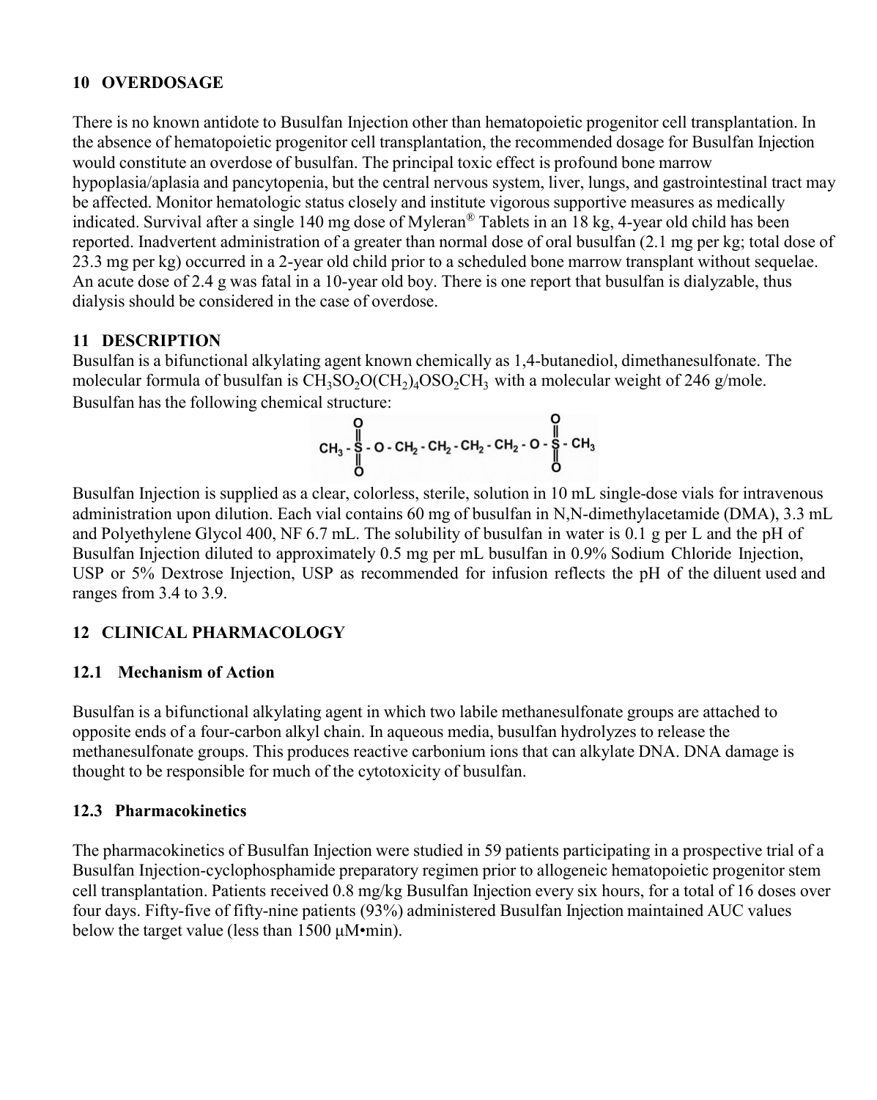### **10 OVERDOSAGE**

There is no known antidote to Busulfan Injection other than hematopoietic progenitor cell transplantation. In the absence of hematopoietic progenitor cell transplantation, the recommended dosage for Busulfan Injection would constitute an overdose of busulfan. The principal toxic effect is profound bone marrow hypoplasia/aplasia and pancytopenia, but the central nervous system, liver, lungs, and gastrointestinal tract may be affected. Monitor hematologic status closely and institute vigorous supportive measures as medically indicated. Survival after a single 140 mg dose of Myleran® Tablets in an 18 kg, 4-year old child has been reported. Inadvertent administration of a greater than normal dose of oral busulfan (2.1 mg per kg; total dose of 23.3 mg per kg) occurred in a 2-year old child prior to a scheduled bone marrow transplant without sequelae. An acute dose of 2.4 g was fatal in a 10-year old boy. There is one report that busulfan is dialyzable, thus dialysis should be considered in the case of overdose.

# **11 DESCRIPTION**

Busulfan is a bifunctional alkylating agent known chemically as 1,4-butanediol, dimethanesulfonate. The molecular formula of busulfan is  $\mathrm{CH_{3}SO_{2}OCH_{2})_{4}OSO_{2}CH_{3}}$  with a molecular weight of 246 g/mole. Busulfan has the following chemical structure:

$$
\begin{array}{c}\n0 \\
CH_3 - \frac{1}{8} \\
O - CH_2 - CH_2 - CH_2 - CH_2 - O + \frac{1}{8} \cdot CH_3 \\
O\n\end{array}
$$

Busulfan Injection is supplied as a clear, colorless, sterile, solution in 10 mL single-dose vials for intravenous administration upon dilution. Each vial contains 60 mg of busulfan in N,N-dimethylacetamide (DMA), 3.3 mL and Polyethylene Glycol 400, NF 6.7 mL. The solubility of busulfan in water is 0.1 g per L and the pH of Busulfan Injection diluted to approximately 0.5 mg per mL busulfan in 0.9% Sodium Chloride Injection, USP or 5% Dextrose Injection, USP as recommended for infusion reflects the pH of the diluent used and ranges from 3.4 to 3.9.

# **12 CLINICAL PHARMACOLOGY**

# **12.1 Mechanism of Action**

Busulfan is a bifunctional alkylating agent in which two labile methanesulfonate groups are attached to opposite ends of a four-carbon alkyl chain. In aqueous media, busulfan hydrolyzes to release the methanesulfonate groups. This produces reactive carbonium ions that can alkylate DNA. DNA damage is thought to be responsible for much of the cytotoxicity of busulfan.

# **12.3 Pharmacokinetics**

The pharmacokinetics of Busulfan Injection were studied in 59 patients participating in a prospective trial of a Busulfan Injection-cyclophosphamide preparatory regimen prior to allogeneic hematopoietic progenitor stem cell transplantation. Patients received 0.8 mg/kg Busulfan Injection every six hours, for a total of 16 doses over four days. Fifty-five of fifty-nine patients (93%) administered Busulfan Injection maintained AUC values below the target value (less than 1500 μM•min).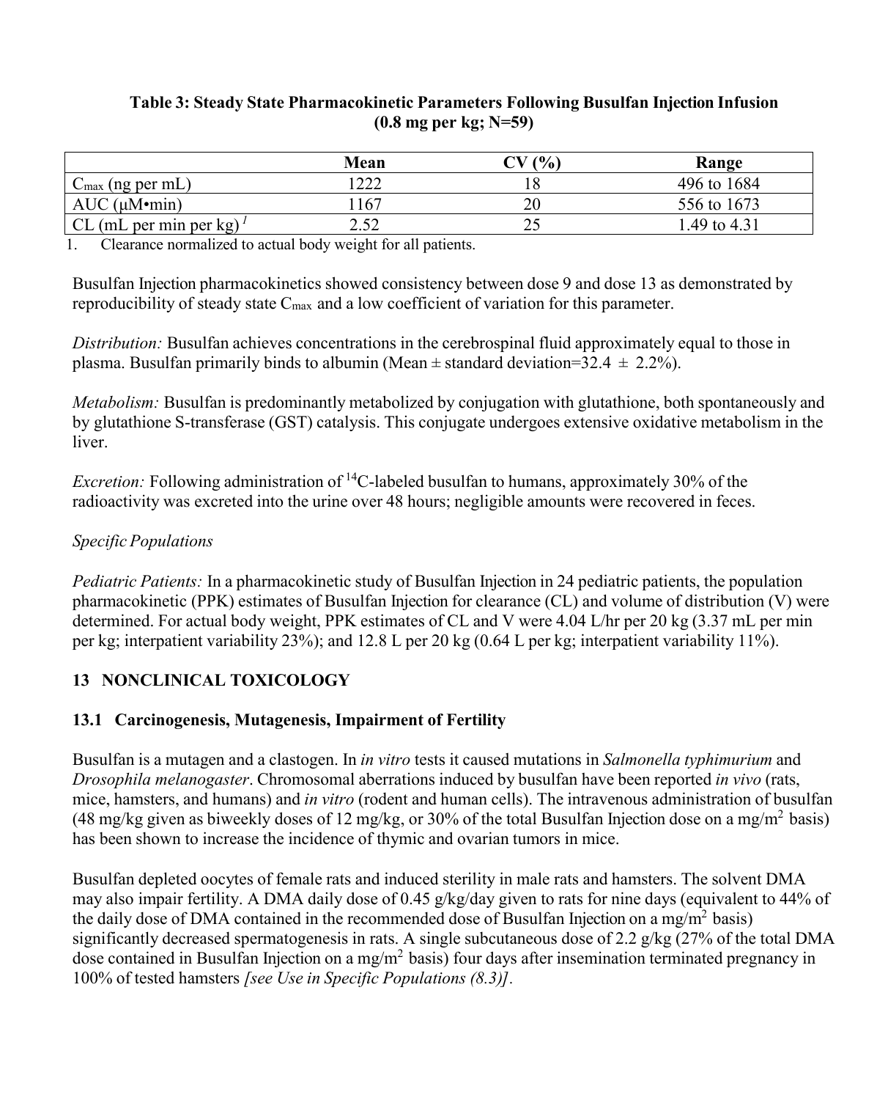### **Table 3: Steady State Pharmacokinetic Parameters Following Busulfan Injection Infusion (0.8 mg per kg; N=59)**

|                                                          | Mean | (0/0) | Range        |
|----------------------------------------------------------|------|-------|--------------|
| $($ ng per mL $)$<br>$\mathsf{L}$ max $\mathsf{L}$       | ∣າາາ |       | 496 to 1684  |
| $AUC$ ( $\mu$ M $\cdot$ min)                             | 167  | 20    | 556 to 1673  |
| CL (mL per min per $kg$ ) <sup><math>\prime</math></sup> | າ ເາ | ∠~    | 1.49 to 4.31 |

1. Clearance normalized to actual body weight for all patients.

Busulfan Injection pharmacokinetics showed consistency between dose 9 and dose 13 as demonstrated by reproducibility of steady state  $C_{\text{max}}$  and a low coefficient of variation for this parameter.

*Distribution:* Busulfan achieves concentrations in the cerebrospinal fluid approximately equal to those in plasma. Busulfan primarily binds to albumin (Mean  $\pm$  standard deviation=32.4  $\pm$  2.2%).

*Metabolism:* Busulfan is predominantly metabolized by conjugation with glutathione, both spontaneously and by glutathione S-transferase (GST) catalysis. This conjugate undergoes extensive oxidative metabolism in the liver.

*Excretion:* Following administration of <sup>14</sup>C-labeled busulfan to humans, approximately 30% of the radioactivity was excreted into the urine over 48 hours; negligible amounts were recovered in feces.

# *Specific Populations*

*Pediatric Patients:* In a pharmacokinetic study of Busulfan Injection in 24 pediatric patients, the population pharmacokinetic (PPK) estimates of Busulfan Injection for clearance (CL) and volume of distribution (V) were determined. For actual body weight, PPK estimates of CL and V were 4.04 L/hr per 20 kg (3.37 mL per min per kg; interpatient variability 23%); and 12.8 L per 20 kg (0.64 L per kg; interpatient variability 11%).

# **13 NONCLINICAL TOXICOLOGY**

# **13.1 Carcinogenesis, Mutagenesis, Impairment of Fertility**

Busulfan is a mutagen and a clastogen. In *in vitro* tests it caused mutations in *Salmonella typhimurium* and *Drosophila melanogaster*. Chromosomal aberrations induced by busulfan have been reported *in vivo* (rats, mice, hamsters, and humans) and *in vitro* (rodent and human cells). The intravenous administration of busulfan (48 mg/kg given as biweekly doses of 12 mg/kg, or 30% of the total Busulfan Injection dose on a mg/m<sup>2</sup> basis) has been shown to increase the incidence of thymic and ovarian tumors in mice.

Busulfan depleted oocytes of female rats and induced sterility in male rats and hamsters. The solvent DMA may also impair fertility. A DMA daily dose of 0.45 g/kg/day given to rats for nine days (equivalent to 44% of the daily dose of DMA contained in the recommended dose of Busulfan Injection on a mg/m<sup>2</sup> basis) significantly decreased spermatogenesis in rats. A single subcutaneous dose of 2.2 g/kg (27% of the total DMA dose contained in Busulfan Injection on a mg/m<sup>2</sup> basis) four days after insemination terminated pregnancy in 100% of tested hamsters *[see Use in Specific Populations (8.3)].*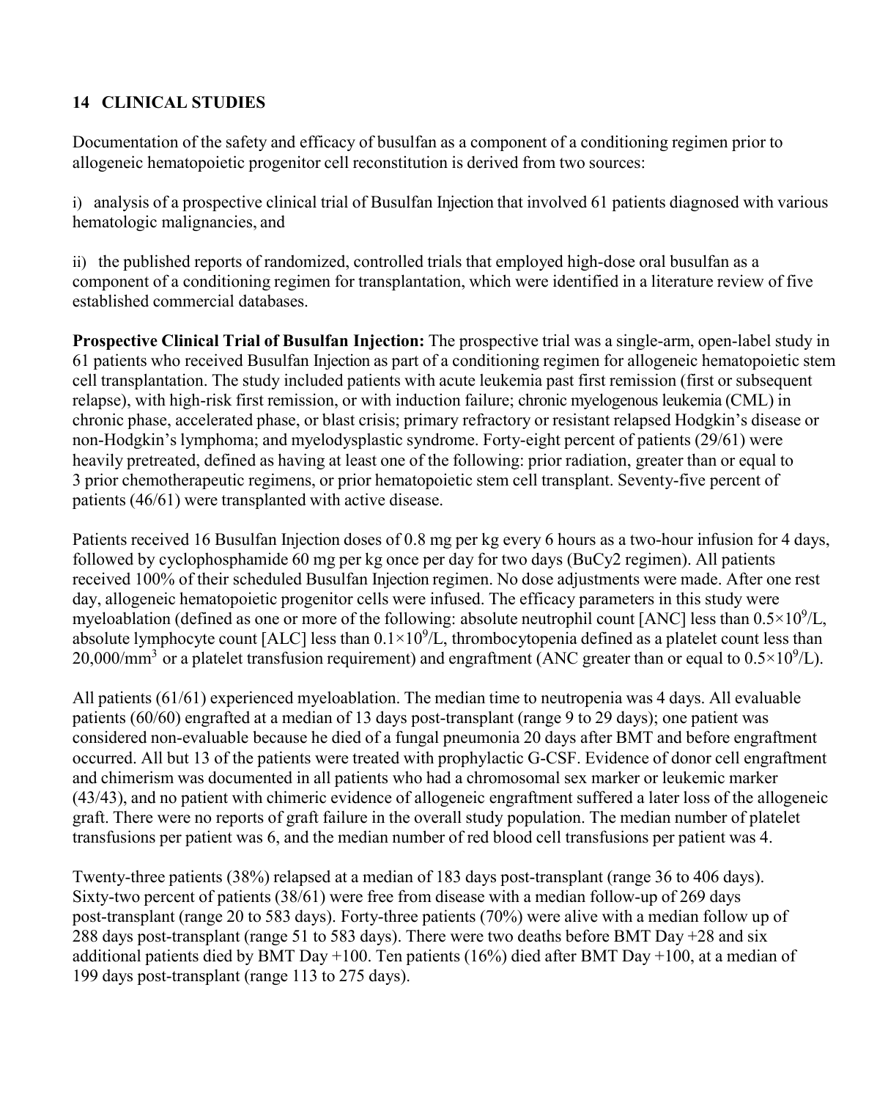# **14 CLINICAL STUDIES**

Documentation of the safety and efficacy of busulfan as a component of a conditioning regimen prior to allogeneic hematopoietic progenitor cell reconstitution is derived from two sources:

i) analysis of a prospective clinical trial of Busulfan Injection that involved 61 patients diagnosed with various hematologic malignancies, and

ii) the published reports of randomized, controlled trials that employed high-dose oral busulfan as a component of a conditioning regimen for transplantation, which were identified in a literature review of five established commercial databases.

**Prospective Clinical Trial of Busulfan Injection:** The prospective trial was a single-arm, open-label study in 61 patients who received Busulfan Injection as part of a conditioning regimen for allogeneic hematopoietic stem cell transplantation. The study included patients with acute leukemia past first remission (first or subsequent relapse), with high-risk first remission, or with induction failure; chronic myelogenous leukemia (CML) in chronic phase, accelerated phase, or blast crisis; primary refractory or resistant relapsed Hodgkin's disease or non-Hodgkin's lymphoma; and myelodysplastic syndrome. Forty-eight percent of patients (29/61) were heavily pretreated, defined as having at least one of the following: prior radiation, greater than or equal to 3 prior chemotherapeutic regimens, or prior hematopoietic stem cell transplant. Seventy-five percent of patients (46/61) were transplanted with active disease.

Patients received 16 Busulfan Injection doses of 0.8 mg per kg every 6 hours as a two-hour infusion for 4 days, followed by cyclophosphamide 60 mg per kg once per day for two days (BuCy2 regimen). All patients received 100% of their scheduled Busulfan Injection regimen. No dose adjustments were made. After one rest day, allogeneic hematopoietic progenitor cells were infused. The efficacy parameters in this study were myeloablation (defined as one or more of the following: absolute neutrophil count [ANC] less than  $0.5 \times 10^9$ /L, absolute lymphocyte count [ALC] less than  $0.1 \times 10^9$ /L, thrombocytopenia defined as a platelet count less than 20,000/mm<sup>3</sup> or a platelet transfusion requirement) and engraftment (ANC greater than or equal to  $0.5 \times 10^9$ /L).

All patients (61/61) experienced myeloablation. The median time to neutropenia was 4 days. All evaluable patients (60/60) engrafted at a median of 13 days post-transplant (range 9 to 29 days); one patient was considered non-evaluable because he died of a fungal pneumonia 20 days after BMT and before engraftment occurred. All but 13 of the patients were treated with prophylactic G-CSF. Evidence of donor cell engraftment and chimerism was documented in all patients who had a chromosomal sex marker or leukemic marker (43/43), and no patient with chimeric evidence of allogeneic engraftment suffered a later loss of the allogeneic graft. There were no reports of graft failure in the overall study population. The median number of platelet transfusions per patient was 6, and the median number of red blood cell transfusions per patient was 4.

Twenty-three patients (38%) relapsed at a median of 183 days post-transplant (range 36 to 406 days). Sixty-two percent of patients (38/61) were free from disease with a median follow-up of 269 days post-transplant (range 20 to 583 days). Forty-three patients (70%) were alive with a median follow up of 288 days post-transplant (range 51 to 583 days). There were two deaths before BMT Day +28 and six additional patients died by BMT Day +100. Ten patients (16%) died after BMT Day +100, at a median of 199 days post-transplant (range 113 to 275 days).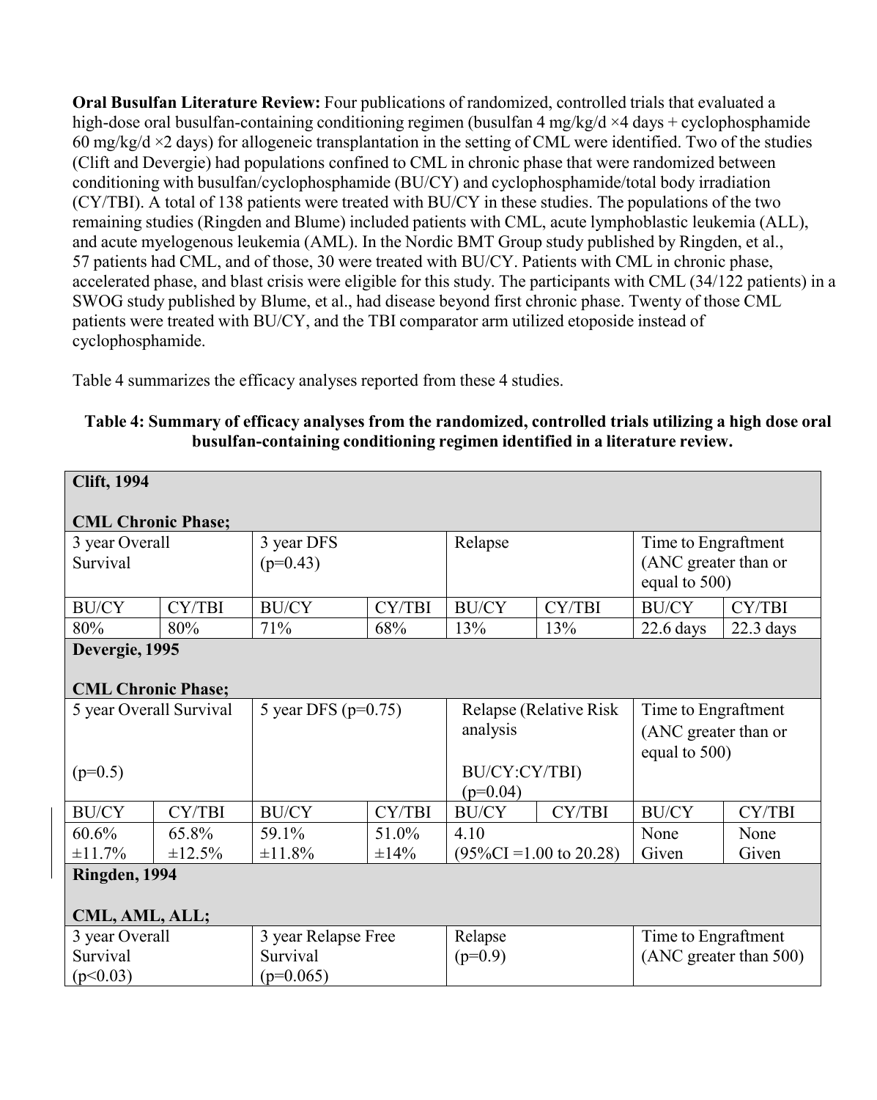**Oral Busulfan Literature Review:** Four publications of randomized, controlled trials that evaluated a high-dose oral busulfan-containing conditioning regimen (busulfan 4 mg/kg/d ×4 days + cyclophosphamide 60 mg/kg/d  $\times$ 2 days) for allogeneic transplantation in the setting of CML were identified. Two of the studies (Clift and Devergie) had populations confined to CML in chronic phase that were randomized between conditioning with busulfan/cyclophosphamide (BU/CY) and cyclophosphamide/total body irradiation (CY/TBI). A total of 138 patients were treated with BU/CY in these studies. The populations of the two remaining studies (Ringden and Blume) included patients with CML, acute lymphoblastic leukemia (ALL), and acute myelogenous leukemia (AML). In the Nordic BMT Group study published by Ringden, et al., 57 patients had CML, and of those, 30 were treated with BU/CY. Patients with CML in chronic phase, accelerated phase, and blast crisis were eligible for this study. The participants with CML (34/122 patients) in a SWOG study published by Blume, et al., had disease beyond first chronic phase. Twenty of those CML patients were treated with BU/CY, and the TBI comparator arm utilized etoposide instead of cyclophosphamide.

Table 4 summarizes the efficacy analyses reported from these 4 studies.

| <b>Clift, 1994</b>        |              |                            |        |                                     |        |                        |             |
|---------------------------|--------------|----------------------------|--------|-------------------------------------|--------|------------------------|-------------|
|                           |              |                            |        |                                     |        |                        |             |
| <b>CML Chronic Phase;</b> |              |                            |        |                                     |        |                        |             |
| 3 year Overall            |              | 3 year DFS                 |        | Relapse                             |        | Time to Engraftment    |             |
| Survival                  |              | $(p=0.43)$                 |        |                                     |        | (ANC greater than or   |             |
|                           |              |                            |        |                                     |        | equal to 500)          |             |
| <b>BU/CY</b>              | CY/TBI       | <b>BU/CY</b>               | CY/TBI | <b>BU/CY</b>                        | CY/TBI | <b>BU/CY</b>           | CY/TBI      |
| 80%                       | 80%          | 71%                        | 68%    | 13%                                 | 13%    | $22.6$ days            | $22.3$ days |
| Devergie, 1995            |              |                            |        |                                     |        |                        |             |
|                           |              |                            |        |                                     |        |                        |             |
| <b>CML Chronic Phase;</b> |              |                            |        |                                     |        |                        |             |
| 5 year Overall Survival   |              | 5 year DFS ( $p=0.75$ )    |        | Relapse (Relative Risk              |        | Time to Engraftment    |             |
|                           |              |                            |        | analysis                            |        | (ANC greater than or   |             |
|                           |              |                            |        |                                     |        | equal to 500)          |             |
| $(p=0.5)$                 |              |                            |        | BU/CY:CY/TBI)                       |        |                        |             |
|                           |              |                            |        | $(p=0.04)$                          |        |                        |             |
| <b>BU/CY</b>              | CY/TBI       | <b>BU/CY</b>               | CY/TBI | <b>BU/CY</b>                        | CY/TBI | <b>BU/CY</b>           | CY/TBI      |
| 60.6%                     | 65.8%        | 59.1%                      | 51.0%  | 4.10                                |        | None                   | None        |
| ±11.7%                    | $\pm 12.5\%$ | $\pm 11.8\%$<br>$\pm 14\%$ |        | $(95\%CI = 1.00 \text{ to } 20.28)$ |        | Given                  | Given       |
| Ringden, 1994             |              |                            |        |                                     |        |                        |             |
|                           |              |                            |        |                                     |        |                        |             |
| CML, AML, ALL;            |              |                            |        |                                     |        |                        |             |
| 3 year Overall            |              | 3 year Relapse Free        |        | Relapse                             |        | Time to Engraftment    |             |
| Survival<br>Survival      |              |                            |        | $(p=0.9)$                           |        | (ANC greater than 500) |             |
| (p<0.03)                  |              | $(p=0.065)$                |        |                                     |        |                        |             |

# **Table 4: Summary of efficacy analyses from the randomized, controlled trials utilizing a high dose oral busulfan-containing conditioning regimen identified in a literature review.**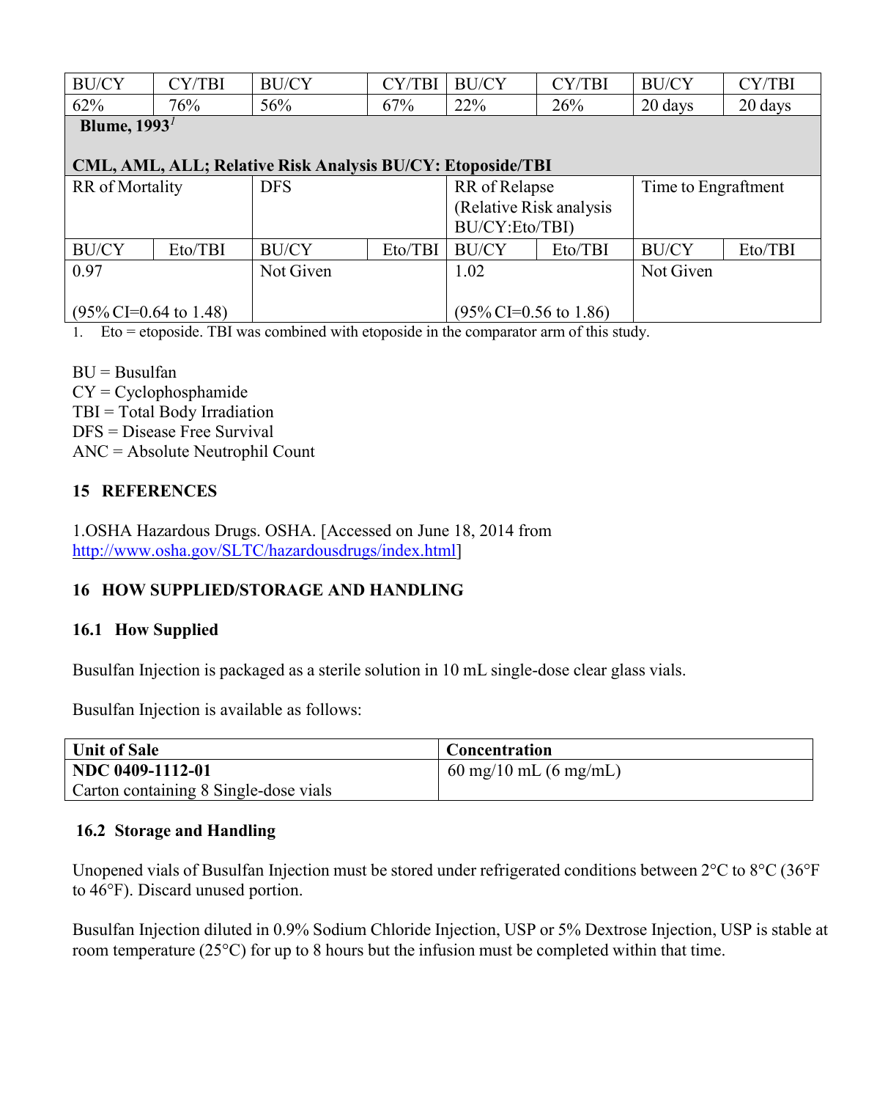| <b>BU/CY</b> | CY/TBI | <b>BU/CY</b> | $\cap$ v<br>$em$ . | <b>BU/CY</b> | MTD | <b>BU/CY</b> | CY/TBI     |
|--------------|--------|--------------|--------------------|--------------|-----|--------------|------------|
| 62%          | 76%    | 56%          | $7\%$              | 22%          | 26% | 20 days      | 20<br>davs |

**Blume, 1993***<sup>1</sup>*

#### **CML, AML, ALL; Relative Risk Analysis BU/CY: Etoposide/TBI**

| <b>DFS</b><br>RR of Mortality |         | RR of Relapse |                          | Time to Engraftment                         |         |              |         |
|-------------------------------|---------|---------------|--------------------------|---------------------------------------------|---------|--------------|---------|
|                               |         |               | (Relative Risk analysis) |                                             |         |              |         |
|                               |         |               |                          | BU/CY:Eto/TBI)                              |         |              |         |
| <b>BU/CY</b>                  | Eto/TBI | <b>BU/CY</b>  | Eto/TBI                  | <b>BU/CY</b>                                | Eto/TBI | <b>BU/CY</b> | Eto/TBI |
| 0.97                          |         | Not Given     |                          | 1.02                                        |         | Not Given    |         |
|                               |         |               |                          |                                             |         |              |         |
| $(95\%$ CI=0.64 to 1.48)      |         |               |                          | $(95\% \text{ CI} = 0.56 \text{ to } 1.86)$ |         |              |         |

1. Eto = etoposide. TBI was combined with etoposide in the comparator arm of this study.

 $BU = Busulfan$ CY = Cyclophosphamide TBI = Total Body Irradiation DFS = Disease Free Survival ANC = Absolute Neutrophil Count

#### **15 REFERENCES**

1.OSHA Hazardous Drugs. OSHA. [Accessed on June 18, 2014 from <http://www.osha.gov/SLTC/hazardousdrugs/index.html>]

# **16 HOW SUPPLIED/STORAGE AND HANDLING**

#### **16.1 How Supplied**

Busulfan Injection is packaged as a sterile solution in 10 mL single-dose clear glass vials.

Busulfan Injection is available as follows:

| <b>Unit of Sale</b>                   | <b>Concentration</b>                    |
|---------------------------------------|-----------------------------------------|
| NDC 0409-1112-01                      | $60 \text{ mg}/10 \text{ mL}$ (6 mg/mL) |
| Carton containing 8 Single-dose vials |                                         |

#### **16.2 Storage and Handling**

Unopened vials of Busulfan Injection must be stored under refrigerated conditions between 2°C to 8°C (36°F to 46°F). Discard unused portion.

Busulfan Injection diluted in 0.9% Sodium Chloride Injection, USP or 5% Dextrose Injection, USP is stable at room temperature (25°C) for up to 8 hours but the infusion must be completed within that time.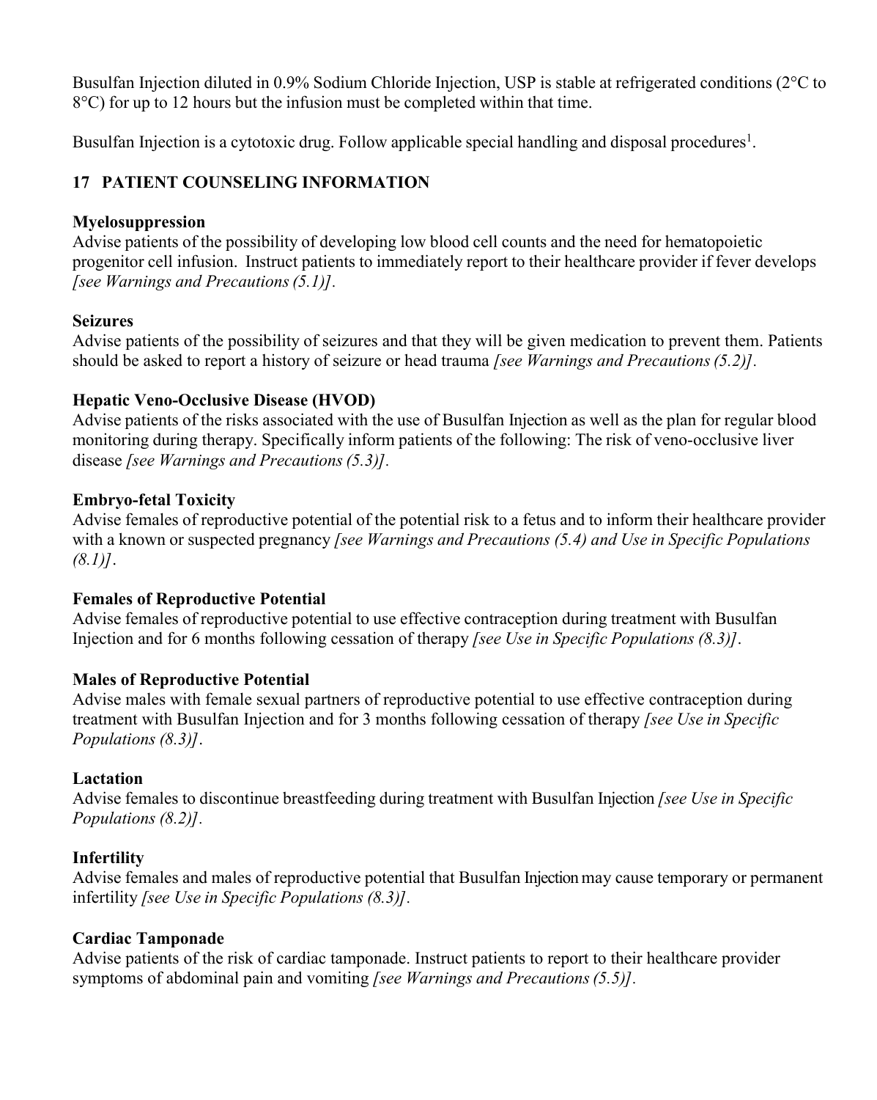Busulfan Injection diluted in 0.9% Sodium Chloride Injection, USP is stable at refrigerated conditions (2°C to 8°C) for up to 12 hours but the infusion must be completed within that time.

Busulfan Injection is a cytotoxic drug. Follow applicable special handling and disposal procedures<sup>1</sup>.

# **17 PATIENT COUNSELING INFORMATION**

# **Myelosuppression**

Advise patients of the possibility of developing low blood cell counts and the need for hematopoietic progenitor cell infusion. Instruct patients to immediately report to their healthcare provider if fever develops *[see Warnings and Precautions(5.1)].*

# **Seizures**

Advise patients of the possibility of seizures and that they will be given medication to prevent them. Patients should be asked to report a history of seizure or head trauma *[see Warnings and Precautions(5.2)].*

# **Hepatic Veno-Occlusive Disease (HVOD)**

Advise patients of the risks associated with the use of Busulfan Injection as well as the plan for regular blood monitoring during therapy. Specifically inform patients of the following: The risk of veno-occlusive liver disease *[see Warnings and Precautions(5.3)].*

# **Embryo-fetal Toxicity**

Advise females of reproductive potential of the potential risk to a fetus and to inform their healthcare provider with a known or suspected pregnancy *[see Warnings and Precautions (5.4) and Use in Specific Populations (8.1)]*.

# **Females of Reproductive Potential**

Advise females of reproductive potential to use effective contraception during treatment with Busulfan Injection and for 6 months following cessation of therapy *[see Use in Specific Populations (8.3)]*.

# **Males of Reproductive Potential**

Advise males with female sexual partners of reproductive potential to use effective contraception during treatment with Busulfan Injection and for 3 months following cessation of therapy *[see Use in Specific Populations (8.3)]*.

# **Lactation**

Advise females to discontinue breastfeeding during treatment with Busulfan Injection *[see Use in Specific Populations (8.2)].*

# **Infertility**

Advise females and males of reproductive potential that Busulfan Injection may cause temporary or permanent infertility *[see Use in Specific Populations (8.3)].*

# **Cardiac Tamponade**

Advise patients of the risk of cardiac tamponade. Instruct patients to report to their healthcare provider symptoms of abdominal pain and vomiting *[see Warnings and Precautions(5.5)].*